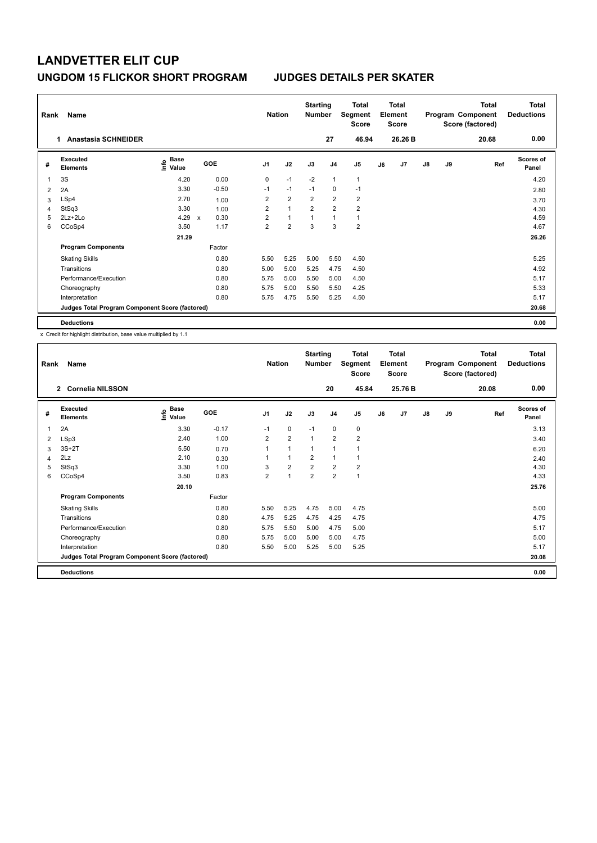| Rank | Name                                            |                                  |                           |         | <b>Nation</b>  |                | <b>Starting</b><br><b>Number</b> |                | <b>Total</b><br>Segment<br><b>Score</b> |    | <b>Total</b><br>Element<br><b>Score</b> |               |    | <b>Total</b><br>Program Component<br>Score (factored) | Total<br><b>Deductions</b> |
|------|-------------------------------------------------|----------------------------------|---------------------------|---------|----------------|----------------|----------------------------------|----------------|-----------------------------------------|----|-----------------------------------------|---------------|----|-------------------------------------------------------|----------------------------|
|      | <b>Anastasia SCHNEIDER</b><br>1.                |                                  |                           |         |                |                |                                  | 27             | 46.94                                   |    | 26.26 B                                 |               |    | 20.68                                                 | 0.00                       |
| #    | <b>Executed</b><br><b>Elements</b>              | <b>Base</b><br>e Base<br>⊆ Value | GOE                       |         | J <sub>1</sub> | J2             | J3                               | J <sub>4</sub> | J <sub>5</sub>                          | J6 | J7                                      | $\mathsf{J}8$ | J9 | Ref                                                   | <b>Scores of</b><br>Panel  |
| 1    | 3S                                              | 4.20                             |                           | 0.00    | 0              | $-1$           | $-2$                             | $\mathbf{1}$   | $\mathbf{1}$                            |    |                                         |               |    |                                                       | 4.20                       |
| 2    | 2A                                              | 3.30                             |                           | $-0.50$ | $-1$           | $-1$           | $-1$                             | $\mathbf 0$    | $-1$                                    |    |                                         |               |    |                                                       | 2.80                       |
| 3    | LSp4                                            | 2.70                             |                           | 1.00    | $\overline{2}$ | $\overline{2}$ | $\overline{2}$                   | $\overline{2}$ | $\overline{2}$                          |    |                                         |               |    |                                                       | 3.70                       |
| 4    | StSq3                                           | 3.30                             |                           | 1.00    | $\overline{2}$ | $\overline{1}$ | $\overline{2}$                   | $\overline{2}$ | $\overline{2}$                          |    |                                         |               |    |                                                       | 4.30                       |
| 5    | $2Lz+2Lo$                                       | 4.29                             | $\boldsymbol{\mathsf{x}}$ | 0.30    | $\overline{2}$ | $\overline{1}$ | $\overline{ }$                   | $\overline{1}$ | 1                                       |    |                                         |               |    |                                                       | 4.59                       |
| 6    | CCoSp4                                          | 3.50                             |                           | 1.17    | $\overline{2}$ | $\overline{2}$ | 3                                | 3              | $\overline{2}$                          |    |                                         |               |    |                                                       | 4.67                       |
|      |                                                 | 21.29                            |                           |         |                |                |                                  |                |                                         |    |                                         |               |    |                                                       | 26.26                      |
|      | <b>Program Components</b>                       |                                  |                           | Factor  |                |                |                                  |                |                                         |    |                                         |               |    |                                                       |                            |
|      | <b>Skating Skills</b>                           |                                  |                           | 0.80    | 5.50           | 5.25           | 5.00                             | 5.50           | 4.50                                    |    |                                         |               |    |                                                       | 5.25                       |
|      | Transitions                                     |                                  |                           | 0.80    | 5.00           | 5.00           | 5.25                             | 4.75           | 4.50                                    |    |                                         |               |    |                                                       | 4.92                       |
|      | Performance/Execution                           |                                  |                           | 0.80    | 5.75           | 5.00           | 5.50                             | 5.00           | 4.50                                    |    |                                         |               |    |                                                       | 5.17                       |
|      | Choreography                                    |                                  |                           | 0.80    | 5.75           | 5.00           | 5.50                             | 5.50           | 4.25                                    |    |                                         |               |    |                                                       | 5.33                       |
|      | Interpretation                                  |                                  |                           | 0.80    | 5.75           | 4.75           | 5.50                             | 5.25           | 4.50                                    |    |                                         |               |    |                                                       | 5.17                       |
|      | Judges Total Program Component Score (factored) |                                  |                           |         |                |                |                                  |                |                                         |    |                                         |               |    |                                                       | 20.68                      |
|      | <b>Deductions</b>                               |                                  |                           |         |                |                |                                  |                |                                         |    |                                         |               |    |                                                       | 0.00                       |

x Credit for highlight distribution, base value multiplied by 1.1

| Rank | Name                                            |                      |         | <b>Nation</b>  |                | <b>Starting</b><br><b>Number</b> |                | <b>Total</b><br>Segment<br>Score |    | Total<br>Element<br><b>Score</b> |    |    | <b>Total</b><br>Program Component<br>Score (factored) | <b>Total</b><br><b>Deductions</b> |
|------|-------------------------------------------------|----------------------|---------|----------------|----------------|----------------------------------|----------------|----------------------------------|----|----------------------------------|----|----|-------------------------------------------------------|-----------------------------------|
|      | 2 Cornelia NILSSON                              |                      |         |                |                |                                  | 20             | 45.84                            |    | 25.76 B                          |    |    | 20.08                                                 | 0.00                              |
| #    | <b>Executed</b><br><b>Elements</b>              | Base<br>١m٥<br>Value | GOE     | J <sub>1</sub> | J2             | J3                               | J <sub>4</sub> | J <sub>5</sub>                   | J6 | J <sub>7</sub>                   | J8 | J9 | Ref                                                   | <b>Scores of</b><br>Panel         |
| 1    | 2A                                              | 3.30                 | $-0.17$ | $-1$           | 0              | $-1$                             | 0              | 0                                |    |                                  |    |    |                                                       | 3.13                              |
| 2    | LSp3                                            | 2.40                 | 1.00    | $\overline{2}$ | $\overline{2}$ | $\mathbf{1}$                     | $\overline{2}$ | $\overline{\mathbf{c}}$          |    |                                  |    |    |                                                       | 3.40                              |
| 3    | $3S+2T$                                         | 5.50                 | 0.70    | 1              | $\mathbf{1}$   | $\mathbf{1}$                     | $\mathbf{1}$   | 1                                |    |                                  |    |    |                                                       | 6.20                              |
| 4    | 2Lz                                             | 2.10                 | 0.30    | 1              | $\mathbf{1}$   | 2                                | 1              | 1                                |    |                                  |    |    |                                                       | 2.40                              |
| 5    | StSq3                                           | 3.30                 | 1.00    | 3              | $\overline{2}$ | $\overline{2}$                   | $\overline{2}$ | $\overline{\mathbf{c}}$          |    |                                  |    |    |                                                       | 4.30                              |
| 6    | CCoSp4                                          | 3.50                 | 0.83    | $\overline{2}$ | $\mathbf{1}$   | $\overline{2}$                   | $\overline{2}$ | $\mathbf{1}$                     |    |                                  |    |    |                                                       | 4.33                              |
|      |                                                 | 20.10                |         |                |                |                                  |                |                                  |    |                                  |    |    |                                                       | 25.76                             |
|      | <b>Program Components</b>                       |                      | Factor  |                |                |                                  |                |                                  |    |                                  |    |    |                                                       |                                   |
|      | <b>Skating Skills</b>                           |                      | 0.80    | 5.50           | 5.25           | 4.75                             | 5.00           | 4.75                             |    |                                  |    |    |                                                       | 5.00                              |
|      | Transitions                                     |                      | 0.80    | 4.75           | 5.25           | 4.75                             | 4.25           | 4.75                             |    |                                  |    |    |                                                       | 4.75                              |
|      | Performance/Execution                           |                      | 0.80    | 5.75           | 5.50           | 5.00                             | 4.75           | 5.00                             |    |                                  |    |    |                                                       | 5.17                              |
|      | Choreography                                    |                      | 0.80    | 5.75           | 5.00           | 5.00                             | 5.00           | 4.75                             |    |                                  |    |    |                                                       | 5.00                              |
|      | Interpretation                                  |                      | 0.80    | 5.50           | 5.00           | 5.25                             | 5.00           | 5.25                             |    |                                  |    |    |                                                       | 5.17                              |
|      | Judges Total Program Component Score (factored) |                      |         |                |                |                                  |                |                                  |    |                                  |    |    |                                                       | 20.08                             |
|      | <b>Deductions</b>                               |                      |         |                |                |                                  |                |                                  |    |                                  |    |    |                                                       | 0.00                              |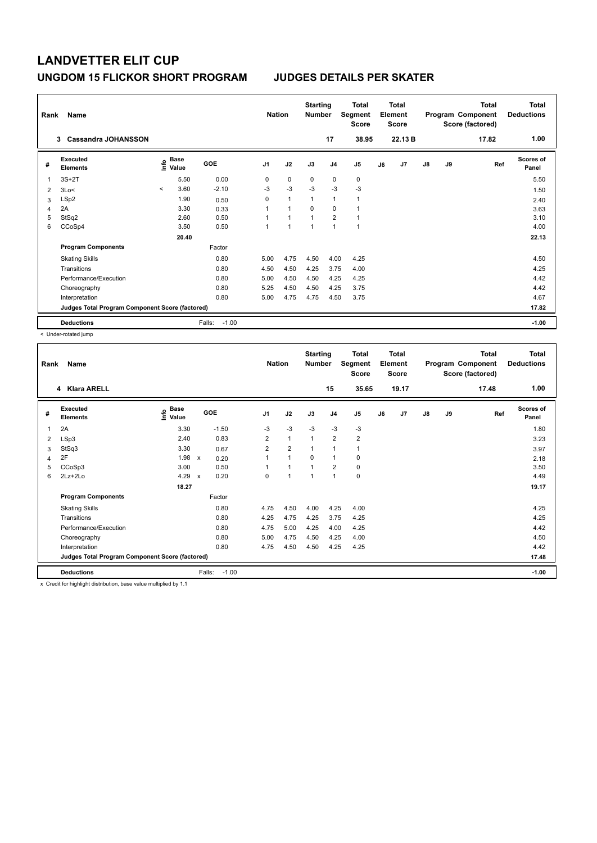| Rank | Name                                            |                          |                           |                   | <b>Nation</b>  |                | <b>Starting</b><br><b>Number</b> |                | <b>Total</b><br>Segment<br><b>Score</b> |    | <b>Total</b><br>Element<br><b>Score</b> |               |    | <b>Total</b><br>Program Component<br>Score (factored) | Total<br><b>Deductions</b> |
|------|-------------------------------------------------|--------------------------|---------------------------|-------------------|----------------|----------------|----------------------------------|----------------|-----------------------------------------|----|-----------------------------------------|---------------|----|-------------------------------------------------------|----------------------------|
|      | <b>Cassandra JOHANSSON</b><br>3                 |                          |                           |                   |                |                |                                  | 17             | 38.95                                   |    | 22.13 B                                 |               |    | 17.82                                                 | 1.00                       |
| #    | <b>Executed</b><br><b>Elements</b>              |                          | Base<br>e Base<br>⊆ Value | <b>GOE</b>        | J <sub>1</sub> | J2             | J3                               | J <sub>4</sub> | J <sub>5</sub>                          | J6 | J7                                      | $\mathsf{J}8$ | J9 | Ref                                                   | <b>Scores of</b><br>Panel  |
| 1    | $3S+2T$                                         |                          | 5.50                      | 0.00              | 0              | $\mathbf 0$    | 0                                | 0              | $\pmb{0}$                               |    |                                         |               |    |                                                       | 5.50                       |
| 2    | 3Lo<                                            | $\overline{\phantom{a}}$ | 3.60                      | $-2.10$           | $-3$           | $-3$           | $-3$                             | $-3$           | $-3$                                    |    |                                         |               |    |                                                       | 1.50                       |
| 3    | LSp2                                            |                          | 1.90                      | 0.50              | 0              | $\overline{1}$ | 1                                | $\overline{1}$ | 1                                       |    |                                         |               |    |                                                       | 2.40                       |
| 4    | 2A                                              |                          | 3.30                      | 0.33              | 1              | $\overline{1}$ | $\Omega$                         | $\Omega$       |                                         |    |                                         |               |    |                                                       | 3.63                       |
| 5    | StSq2                                           |                          | 2.60                      | 0.50              | 1              | $\overline{1}$ | $\overline{1}$                   | $\overline{2}$ |                                         |    |                                         |               |    |                                                       | 3.10                       |
| 6    | CCoSp4                                          |                          | 3.50                      | 0.50              | 1              | 1              | 1                                | $\overline{1}$ | $\mathbf{1}$                            |    |                                         |               |    |                                                       | 4.00                       |
|      |                                                 |                          | 20.40                     |                   |                |                |                                  |                |                                         |    |                                         |               |    |                                                       | 22.13                      |
|      | <b>Program Components</b>                       |                          |                           | Factor            |                |                |                                  |                |                                         |    |                                         |               |    |                                                       |                            |
|      | <b>Skating Skills</b>                           |                          |                           | 0.80              | 5.00           | 4.75           | 4.50                             | 4.00           | 4.25                                    |    |                                         |               |    |                                                       | 4.50                       |
|      | Transitions                                     |                          |                           | 0.80              | 4.50           | 4.50           | 4.25                             | 3.75           | 4.00                                    |    |                                         |               |    |                                                       | 4.25                       |
|      | Performance/Execution                           |                          |                           | 0.80              | 5.00           | 4.50           | 4.50                             | 4.25           | 4.25                                    |    |                                         |               |    |                                                       | 4.42                       |
|      | Choreography                                    |                          |                           | 0.80              | 5.25           | 4.50           | 4.50                             | 4.25           | 3.75                                    |    |                                         |               |    |                                                       | 4.42                       |
|      | Interpretation                                  |                          |                           | 0.80              | 5.00           | 4.75           | 4.75                             | 4.50           | 3.75                                    |    |                                         |               |    |                                                       | 4.67                       |
|      | Judges Total Program Component Score (factored) |                          |                           |                   |                |                |                                  |                |                                         |    |                                         |               |    |                                                       | 17.82                      |
|      | <b>Deductions</b>                               |                          |                           | $-1.00$<br>Falls: |                |                |                                  |                |                                         |    |                                         |               |    |                                                       | $-1.00$                    |

< Under-rotated jump

| Rank | Name                                            |                        |                                   | <b>Nation</b>  |                | <b>Starting</b><br><b>Number</b> |                | Total<br>Segment<br><b>Score</b> |    | <b>Total</b><br>Element<br>Score |               |    | <b>Total</b><br>Program Component<br>Score (factored) | <b>Total</b><br><b>Deductions</b> |
|------|-------------------------------------------------|------------------------|-----------------------------------|----------------|----------------|----------------------------------|----------------|----------------------------------|----|----------------------------------|---------------|----|-------------------------------------------------------|-----------------------------------|
|      | 4 Klara ARELL                                   |                        |                                   |                |                |                                  | 15             | 35.65                            |    | 19.17                            |               |    | 17.48                                                 | 1.00                              |
| #    | Executed<br><b>Elements</b>                     | $\sum_{i=1}^{n}$ Value | GOE                               | J <sub>1</sub> | J2             | J3                               | J <sub>4</sub> | J <sub>5</sub>                   | J6 | J <sub>7</sub>                   | $\mathsf{J}8$ | J9 | Ref                                                   | <b>Scores of</b><br>Panel         |
| 1    | 2A                                              | 3.30                   | $-1.50$                           | $-3$           | $-3$           | $-3$                             | $-3$           | $-3$                             |    |                                  |               |    |                                                       | 1.80                              |
| 2    | LSp3                                            | 2.40                   | 0.83                              | $\overline{2}$ | $\mathbf{1}$   | 1                                | $\overline{2}$ | $\overline{\mathbf{c}}$          |    |                                  |               |    |                                                       | 3.23                              |
| 3    | StSq3                                           | 3.30                   | 0.67                              | $\overline{2}$ | $\overline{2}$ | 1                                | 1              | 1                                |    |                                  |               |    |                                                       | 3.97                              |
| 4    | 2F                                              | 1.98                   | $\mathsf{x}$<br>0.20              |                | $\mathbf{1}$   | $\Omega$                         | $\mathbf{1}$   | 0                                |    |                                  |               |    |                                                       | 2.18                              |
| 5    | CCoSp3                                          | 3.00                   | 0.50                              |                | $\overline{1}$ |                                  | $\overline{2}$ | 0                                |    |                                  |               |    |                                                       | 3.50                              |
| 6    | $2Lz+2Lo$                                       | 4.29                   | 0.20<br>$\boldsymbol{\mathsf{x}}$ | 0              | 1              |                                  | 1              | 0                                |    |                                  |               |    |                                                       | 4.49                              |
|      |                                                 | 18.27                  |                                   |                |                |                                  |                |                                  |    |                                  |               |    |                                                       | 19.17                             |
|      | <b>Program Components</b>                       |                        | Factor                            |                |                |                                  |                |                                  |    |                                  |               |    |                                                       |                                   |
|      | <b>Skating Skills</b>                           |                        | 0.80                              | 4.75           | 4.50           | 4.00                             | 4.25           | 4.00                             |    |                                  |               |    |                                                       | 4.25                              |
|      | Transitions                                     |                        | 0.80                              | 4.25           | 4.75           | 4.25                             | 3.75           | 4.25                             |    |                                  |               |    |                                                       | 4.25                              |
|      | Performance/Execution                           |                        | 0.80                              | 4.75           | 5.00           | 4.25                             | 4.00           | 4.25                             |    |                                  |               |    |                                                       | 4.42                              |
|      | Choreography                                    |                        | 0.80                              | 5.00           | 4.75           | 4.50                             | 4.25           | 4.00                             |    |                                  |               |    |                                                       | 4.50                              |
|      | Interpretation                                  |                        | 0.80                              | 4.75           | 4.50           | 4.50                             | 4.25           | 4.25                             |    |                                  |               |    |                                                       | 4.42                              |
|      | Judges Total Program Component Score (factored) |                        |                                   |                |                |                                  |                |                                  |    |                                  |               |    |                                                       | 17.48                             |
|      | <b>Deductions</b>                               |                        | $-1.00$<br>Falls:                 |                |                |                                  |                |                                  |    |                                  |               |    |                                                       | $-1.00$                           |

x Credit for highlight distribution, base value multiplied by 1.1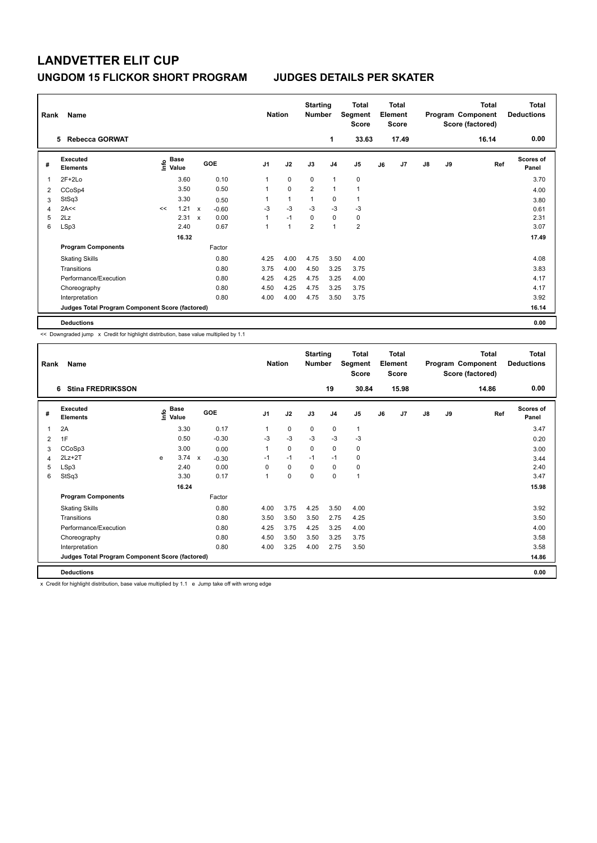| Rank | Name                                            |    |                                             |             |         |                | <b>Nation</b> | <b>Starting</b><br><b>Number</b> |                | Total<br>Segment<br><b>Score</b> |    | <b>Total</b><br>Element<br><b>Score</b> |               |    | <b>Total</b><br>Program Component<br>Score (factored) | <b>Total</b><br><b>Deductions</b> |
|------|-------------------------------------------------|----|---------------------------------------------|-------------|---------|----------------|---------------|----------------------------------|----------------|----------------------------------|----|-----------------------------------------|---------------|----|-------------------------------------------------------|-----------------------------------|
|      | <b>Rebecca GORWAT</b><br>5.                     |    |                                             |             |         |                |               |                                  | 1              | 33.63                            |    | 17.49                                   |               |    | 16.14                                                 | 0.00                              |
| #    | <b>Executed</b><br><b>Elements</b>              |    | <b>Base</b><br>e <sup>Base</sup><br>⊆ Value |             | GOE     | J <sub>1</sub> | J2            | J3                               | J <sub>4</sub> | J5                               | J6 | J7                                      | $\mathsf{J}8$ | J9 | Ref                                                   | <b>Scores of</b><br>Panel         |
|      | $2F+2Lo$                                        |    | 3.60                                        |             | 0.10    | 1              | $\mathbf 0$   | $\mathbf 0$                      | $\overline{1}$ | $\mathbf 0$                      |    |                                         |               |    |                                                       | 3.70                              |
| 2    | CCoSp4                                          |    | 3.50                                        |             | 0.50    | 1              | $\mathbf 0$   | $\overline{2}$                   | 1              | $\overline{1}$                   |    |                                         |               |    |                                                       | 4.00                              |
| 3    | StSq3                                           |    | 3.30                                        |             | 0.50    | 1              | $\mathbf{1}$  | $\overline{1}$                   | 0              | 1                                |    |                                         |               |    |                                                       | 3.80                              |
| 4    | 2A<<                                            | << | 1.21                                        | X           | $-0.60$ | $-3$           | $-3$          | $-3$                             | $-3$           | -3                               |    |                                         |               |    |                                                       | 0.61                              |
| 5    | 2Lz                                             |    | 2.31                                        | $\mathbf x$ | 0.00    | 1              | $-1$          | 0                                | $\mathbf 0$    | 0                                |    |                                         |               |    |                                                       | 2.31                              |
| 6    | LSp3                                            |    | 2.40                                        |             | 0.67    | 1              | 1             | $\overline{2}$                   | $\overline{1}$ | $\overline{2}$                   |    |                                         |               |    |                                                       | 3.07                              |
|      |                                                 |    | 16.32                                       |             |         |                |               |                                  |                |                                  |    |                                         |               |    |                                                       | 17.49                             |
|      | <b>Program Components</b>                       |    |                                             |             | Factor  |                |               |                                  |                |                                  |    |                                         |               |    |                                                       |                                   |
|      | <b>Skating Skills</b>                           |    |                                             |             | 0.80    | 4.25           | 4.00          | 4.75                             | 3.50           | 4.00                             |    |                                         |               |    |                                                       | 4.08                              |
|      | Transitions                                     |    |                                             |             | 0.80    | 3.75           | 4.00          | 4.50                             | 3.25           | 3.75                             |    |                                         |               |    |                                                       | 3.83                              |
|      | Performance/Execution                           |    |                                             |             | 0.80    | 4.25           | 4.25          | 4.75                             | 3.25           | 4.00                             |    |                                         |               |    |                                                       | 4.17                              |
|      | Choreography                                    |    |                                             |             | 0.80    | 4.50           | 4.25          | 4.75                             | 3.25           | 3.75                             |    |                                         |               |    |                                                       | 4.17                              |
|      | Interpretation                                  |    |                                             |             | 0.80    | 4.00           | 4.00          | 4.75                             | 3.50           | 3.75                             |    |                                         |               |    |                                                       | 3.92                              |
|      | Judges Total Program Component Score (factored) |    |                                             |             |         |                |               |                                  |                |                                  |    |                                         |               |    |                                                       | 16.14                             |
|      | <b>Deductions</b>                               |    |                                             |             |         |                |               |                                  |                |                                  |    |                                         |               |    |                                                       | 0.00                              |

<< Downgraded jump x Credit for highlight distribution, base value multiplied by 1.1

| Rank | Name                                            |   |                                  |              |         | <b>Nation</b>  |             | <b>Starting</b><br><b>Number</b> |                | <b>Total</b><br>Segment<br><b>Score</b> |    | <b>Total</b><br>Element<br><b>Score</b> |               |    | <b>Total</b><br>Program Component<br>Score (factored) | <b>Total</b><br><b>Deductions</b> |
|------|-------------------------------------------------|---|----------------------------------|--------------|---------|----------------|-------------|----------------------------------|----------------|-----------------------------------------|----|-----------------------------------------|---------------|----|-------------------------------------------------------|-----------------------------------|
|      | <b>Stina FREDRIKSSON</b><br>6                   |   |                                  |              |         |                |             |                                  | 19             | 30.84                                   |    | 15.98                                   |               |    | 14.86                                                 | 0.00                              |
| #    | Executed<br><b>Elements</b>                     |   | <b>Base</b><br>e Base<br>E Value | <b>GOE</b>   |         | J <sub>1</sub> | J2          | J3                               | J <sub>4</sub> | J <sub>5</sub>                          | J6 | J <sub>7</sub>                          | $\mathsf{J}8$ | J9 | Ref                                                   | <b>Scores of</b><br>Panel         |
| 1    | 2A                                              |   | 3.30                             |              | 0.17    | 1              | $\mathbf 0$ | 0                                | 0              | $\mathbf{1}$                            |    |                                         |               |    |                                                       | 3.47                              |
| 2    | 1F                                              |   | 0.50                             |              | $-0.30$ | -3             | $-3$        | -3                               | -3             | $-3$                                    |    |                                         |               |    |                                                       | 0.20                              |
| 3    | CCoSp3                                          |   | 3.00                             |              | 0.00    | 1              | $\mathbf 0$ | $\mathbf{0}$                     | $\mathbf 0$    | 0                                       |    |                                         |               |    |                                                       | 3.00                              |
| 4    | $2Lz+2T$                                        | e | 3.74                             | $\mathsf{x}$ | $-0.30$ | $-1$           | $-1$        | $-1$                             | $-1$           | 0                                       |    |                                         |               |    |                                                       | 3.44                              |
| 5    | LSp3                                            |   | 2.40                             |              | 0.00    | 0              | $\mathbf 0$ | 0                                | $\mathbf 0$    | 0                                       |    |                                         |               |    |                                                       | 2.40                              |
| 6    | StSq3                                           |   | 3.30                             |              | 0.17    | $\mathbf{1}$   | $\mathbf 0$ | $\mathbf 0$                      | $\mathbf 0$    | $\mathbf{1}$                            |    |                                         |               |    |                                                       | 3.47                              |
|      |                                                 |   | 16.24                            |              |         |                |             |                                  |                |                                         |    |                                         |               |    |                                                       | 15.98                             |
|      | <b>Program Components</b>                       |   |                                  |              | Factor  |                |             |                                  |                |                                         |    |                                         |               |    |                                                       |                                   |
|      | <b>Skating Skills</b>                           |   |                                  |              | 0.80    | 4.00           | 3.75        | 4.25                             | 3.50           | 4.00                                    |    |                                         |               |    |                                                       | 3.92                              |
|      | Transitions                                     |   |                                  |              | 0.80    | 3.50           | 3.50        | 3.50                             | 2.75           | 4.25                                    |    |                                         |               |    |                                                       | 3.50                              |
|      | Performance/Execution                           |   |                                  |              | 0.80    | 4.25           | 3.75        | 4.25                             | 3.25           | 4.00                                    |    |                                         |               |    |                                                       | 4.00                              |
|      | Choreography                                    |   |                                  |              | 0.80    | 4.50           | 3.50        | 3.50                             | 3.25           | 3.75                                    |    |                                         |               |    |                                                       | 3.58                              |
|      | Interpretation                                  |   |                                  |              | 0.80    | 4.00           | 3.25        | 4.00                             | 2.75           | 3.50                                    |    |                                         |               |    |                                                       | 3.58                              |
|      | Judges Total Program Component Score (factored) |   |                                  |              |         |                |             |                                  |                |                                         |    |                                         |               |    |                                                       | 14.86                             |
|      | <b>Deductions</b>                               |   |                                  |              |         |                |             |                                  |                |                                         |    |                                         |               |    |                                                       | 0.00                              |

x Credit for highlight distribution, base value multiplied by 1.1 e Jump take off with wrong edge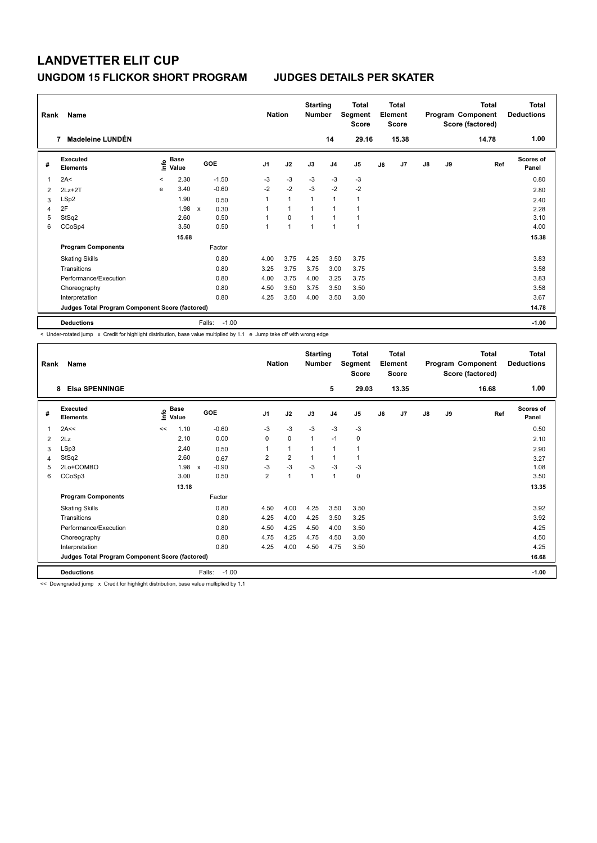| Rank | Name                                            |         |                      |        |         | <b>Nation</b>  |                | <b>Starting</b><br><b>Number</b> |                | <b>Total</b><br>Segment<br><b>Score</b> |    | <b>Total</b><br>Element<br><b>Score</b> |               |    | Total<br>Program Component<br>Score (factored) | Total<br><b>Deductions</b> |
|------|-------------------------------------------------|---------|----------------------|--------|---------|----------------|----------------|----------------------------------|----------------|-----------------------------------------|----|-----------------------------------------|---------------|----|------------------------------------------------|----------------------------|
|      | Madeleine LUNDÉN<br>7                           |         |                      |        |         |                |                |                                  | 14             | 29.16                                   |    | 15.38                                   |               |    | 14.78                                          | 1.00                       |
| #    | Executed<br><b>Elements</b>                     | ۴       | <b>Base</b><br>Value |        | GOE     | J <sub>1</sub> | J2             | J3                               | J <sub>4</sub> | J <sub>5</sub>                          | J6 | J7                                      | $\mathsf{J}8$ | J9 | Ref                                            | <b>Scores of</b><br>Panel  |
| 1    | 2A<                                             | $\prec$ | 2.30                 |        | $-1.50$ | $-3$           | $-3$           | $-3$                             | $-3$           | $-3$                                    |    |                                         |               |    |                                                | 0.80                       |
| 2    | $2Lz+2T$                                        | e       | 3.40                 |        | $-0.60$ | $-2$           | $-2$           | $-3$                             | $-2$           | $-2$                                    |    |                                         |               |    |                                                | 2.80                       |
| 3    | LSp2                                            |         | 1.90                 |        | 0.50    |                | $\overline{1}$ | $\overline{1}$                   | $\overline{1}$ | 1                                       |    |                                         |               |    |                                                | 2.40                       |
| 4    | 2F                                              |         | 1.98                 | X      | 0.30    |                | $\overline{1}$ |                                  |                | 1                                       |    |                                         |               |    |                                                | 2.28                       |
| 5    | StSq2                                           |         | 2.60                 |        | 0.50    |                | $\Omega$       | $\overline{1}$                   |                | $\mathbf{1}$                            |    |                                         |               |    |                                                | 3.10                       |
| 6    | CCoSp4                                          |         | 3.50                 |        | 0.50    | 1              | $\overline{1}$ | $\overline{1}$                   | $\overline{1}$ | $\mathbf{1}$                            |    |                                         |               |    |                                                | 4.00                       |
|      |                                                 |         | 15.68                |        |         |                |                |                                  |                |                                         |    |                                         |               |    |                                                | 15.38                      |
|      | <b>Program Components</b>                       |         |                      |        | Factor  |                |                |                                  |                |                                         |    |                                         |               |    |                                                |                            |
|      | <b>Skating Skills</b>                           |         |                      |        | 0.80    | 4.00           | 3.75           | 4.25                             | 3.50           | 3.75                                    |    |                                         |               |    |                                                | 3.83                       |
|      | Transitions                                     |         |                      |        | 0.80    | 3.25           | 3.75           | 3.75                             | 3.00           | 3.75                                    |    |                                         |               |    |                                                | 3.58                       |
|      | Performance/Execution                           |         |                      |        | 0.80    | 4.00           | 3.75           | 4.00                             | 3.25           | 3.75                                    |    |                                         |               |    |                                                | 3.83                       |
|      | Choreography                                    |         |                      |        | 0.80    | 4.50           | 3.50           | 3.75                             | 3.50           | 3.50                                    |    |                                         |               |    |                                                | 3.58                       |
|      | Interpretation                                  |         |                      |        | 0.80    | 4.25           | 3.50           | 4.00                             | 3.50           | 3.50                                    |    |                                         |               |    |                                                | 3.67                       |
|      | Judges Total Program Component Score (factored) |         |                      |        |         |                |                |                                  |                |                                         |    |                                         |               |    |                                                | 14.78                      |
|      | <b>Deductions</b>                               |         |                      | Falls: | $-1.00$ |                |                |                                  |                |                                         |    |                                         |               |    |                                                | $-1.00$                    |

< Under-rotated jump x Credit for highlight distribution, base value multiplied by 1.1 e Jump take off with wrong edge

| Rank | Name<br><b>Elsa SPENNINGE</b><br>8              |                    |       |                         | <b>Nation</b>  |                | <b>Starting</b><br><b>Number</b> | 5              | <b>Total</b><br>Segment<br><b>Score</b><br>29.03 |    | <b>Total</b><br>Element<br><b>Score</b><br>13.35 |               |    | <b>Total</b><br>Program Component<br>Score (factored)<br>16.68 | Total<br><b>Deductions</b><br>1.00 |
|------|-------------------------------------------------|--------------------|-------|-------------------------|----------------|----------------|----------------------------------|----------------|--------------------------------------------------|----|--------------------------------------------------|---------------|----|----------------------------------------------------------------|------------------------------------|
|      |                                                 |                    |       |                         |                |                |                                  |                |                                                  |    |                                                  |               |    |                                                                |                                    |
| #    | Executed<br><b>Elements</b>                     | $\frac{e}{E}$ Base |       | GOE                     | J <sub>1</sub> | J2             | J3                               | J <sub>4</sub> | J <sub>5</sub>                                   | J6 | J7                                               | $\mathsf{J}8$ | J9 | Ref                                                            | Scores of<br>Panel                 |
| 1    | 2A<<                                            | <<                 | 1.10  | $-0.60$                 | $-3$           | $-3$           | $-3$                             | $-3$           | $-3$                                             |    |                                                  |               |    |                                                                | 0.50                               |
| 2    | 2Lz                                             |                    | 2.10  | 0.00                    | 0              | 0              | $\mathbf{1}$                     | $-1$           | 0                                                |    |                                                  |               |    |                                                                | 2.10                               |
| 3    | LSp3                                            |                    | 2.40  | 0.50                    |                | 1              | 1                                | $\overline{1}$ | 1                                                |    |                                                  |               |    |                                                                | 2.90                               |
| 4    | StSq2                                           |                    | 2.60  | 0.67                    | 2              | $\overline{2}$ | 1                                | 1              | 1                                                |    |                                                  |               |    |                                                                | 3.27                               |
| 5    | 2Lo+COMBO                                       |                    | 1.98  | $-0.90$<br>$\mathsf{x}$ | $-3$           | $-3$           | $-3$                             | $-3$           | $-3$                                             |    |                                                  |               |    |                                                                | 1.08                               |
| 6    | CCoSp3                                          |                    | 3.00  | 0.50                    | $\overline{2}$ | 1              | 1                                | 1              | 0                                                |    |                                                  |               |    |                                                                | 3.50                               |
|      |                                                 |                    | 13.18 |                         |                |                |                                  |                |                                                  |    |                                                  |               |    |                                                                | 13.35                              |
|      | <b>Program Components</b>                       |                    |       | Factor                  |                |                |                                  |                |                                                  |    |                                                  |               |    |                                                                |                                    |
|      | <b>Skating Skills</b>                           |                    |       | 0.80                    | 4.50           | 4.00           | 4.25                             | 3.50           | 3.50                                             |    |                                                  |               |    |                                                                | 3.92                               |
|      | Transitions                                     |                    |       | 0.80                    | 4.25           | 4.00           | 4.25                             | 3.50           | 3.25                                             |    |                                                  |               |    |                                                                | 3.92                               |
|      | Performance/Execution                           |                    |       | 0.80                    | 4.50           | 4.25           | 4.50                             | 4.00           | 3.50                                             |    |                                                  |               |    |                                                                | 4.25                               |
|      | Choreography                                    |                    |       | 0.80                    | 4.75           | 4.25           | 4.75                             | 4.50           | 3.50                                             |    |                                                  |               |    |                                                                | 4.50                               |
|      | Interpretation                                  |                    |       | 0.80                    | 4.25           | 4.00           | 4.50                             | 4.75           | 3.50                                             |    |                                                  |               |    |                                                                | 4.25                               |
|      | Judges Total Program Component Score (factored) |                    |       |                         |                |                |                                  |                |                                                  |    |                                                  |               |    |                                                                | 16.68                              |
|      | <b>Deductions</b>                               |                    |       | Falls:<br>$-1.00$       |                |                |                                  |                |                                                  |    |                                                  |               |    |                                                                | $-1.00$                            |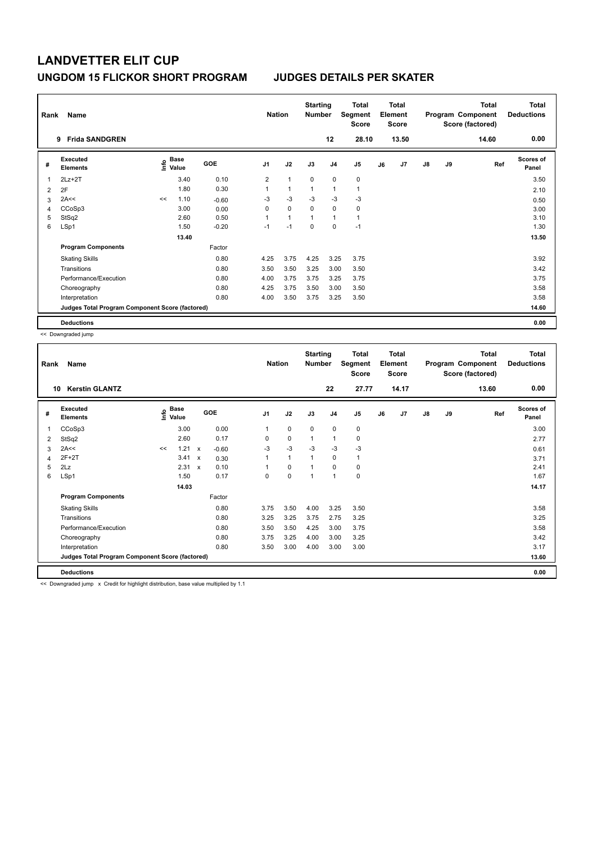| Rank | Name                                            |      |                      |            | <b>Nation</b>  |                | <b>Starting</b><br><b>Number</b> |                | <b>Total</b><br>Segment<br><b>Score</b> |    | <b>Total</b><br>Element<br><b>Score</b> |               |    | <b>Total</b><br>Program Component<br>Score (factored) | <b>Total</b><br><b>Deductions</b> |
|------|-------------------------------------------------|------|----------------------|------------|----------------|----------------|----------------------------------|----------------|-----------------------------------------|----|-----------------------------------------|---------------|----|-------------------------------------------------------|-----------------------------------|
|      | <b>Frida SANDGREN</b><br>9                      |      |                      |            |                |                |                                  | 12             | 28.10                                   |    | 13.50                                   |               |    | 14.60                                                 | 0.00                              |
| #    | <b>Executed</b><br><b>Elements</b>              | lnfo | <b>Base</b><br>Value | <b>GOE</b> | J <sub>1</sub> | J2             | J3                               | J <sub>4</sub> | J5                                      | J6 | J7                                      | $\mathsf{J}8$ | J9 | Ref                                                   | <b>Scores of</b><br>Panel         |
| 1    | $2Lz+2T$                                        |      | 3.40                 | 0.10       | 2              | $\overline{1}$ | $\Omega$                         | $\mathbf 0$    | $\pmb{0}$                               |    |                                         |               |    |                                                       | 3.50                              |
| 2    | 2F                                              |      | 1.80                 | 0.30       | 1              | $\overline{1}$ | 1                                | $\overline{1}$ | $\overline{1}$                          |    |                                         |               |    |                                                       | 2.10                              |
| 3    | 2A<<                                            | <<   | 1.10                 | $-0.60$    | $-3$           | $-3$           | -3                               | $-3$           | $-3$                                    |    |                                         |               |    |                                                       | 0.50                              |
| 4    | CCoSp3                                          |      | 3.00                 | 0.00       | 0              | $\mathbf 0$    | $\Omega$                         | 0              | 0                                       |    |                                         |               |    |                                                       | 3.00                              |
| 5    | StSq2                                           |      | 2.60                 | 0.50       | $\mathbf 1$    | $\overline{1}$ | 1                                | $\overline{1}$ | $\mathbf{1}$                            |    |                                         |               |    |                                                       | 3.10                              |
| 6    | LSp1                                            |      | 1.50                 | $-0.20$    | $-1$           | $-1$           | $\mathbf 0$                      | 0              | $-1$                                    |    |                                         |               |    |                                                       | 1.30                              |
|      |                                                 |      | 13.40                |            |                |                |                                  |                |                                         |    |                                         |               |    |                                                       | 13.50                             |
|      | <b>Program Components</b>                       |      |                      | Factor     |                |                |                                  |                |                                         |    |                                         |               |    |                                                       |                                   |
|      | <b>Skating Skills</b>                           |      |                      | 0.80       | 4.25           | 3.75           | 4.25                             | 3.25           | 3.75                                    |    |                                         |               |    |                                                       | 3.92                              |
|      | Transitions                                     |      |                      | 0.80       | 3.50           | 3.50           | 3.25                             | 3.00           | 3.50                                    |    |                                         |               |    |                                                       | 3.42                              |
|      | Performance/Execution                           |      |                      | 0.80       | 4.00           | 3.75           | 3.75                             | 3.25           | 3.75                                    |    |                                         |               |    |                                                       | 3.75                              |
|      | Choreography                                    |      |                      | 0.80       | 4.25           | 3.75           | 3.50                             | 3.00           | 3.50                                    |    |                                         |               |    |                                                       | 3.58                              |
|      | Interpretation                                  |      |                      | 0.80       | 4.00           | 3.50           | 3.75                             | 3.25           | 3.50                                    |    |                                         |               |    |                                                       | 3.58                              |
|      | Judges Total Program Component Score (factored) |      |                      |            |                |                |                                  |                |                                         |    |                                         |               |    |                                                       | 14.60                             |
|      | <b>Deductions</b>                               |      |                      |            |                |                |                                  |                |                                         |    |                                         |               |    |                                                       | 0.00                              |

<< Downgraded jump

| Rank | Name                                            |    |                       |                           |            | <b>Nation</b>  |              | <b>Starting</b><br><b>Number</b> |                | <b>Total</b><br>Segment<br><b>Score</b> |    | <b>Total</b><br>Element<br><b>Score</b> |               |    | <b>Total</b><br>Program Component<br>Score (factored) | <b>Total</b><br><b>Deductions</b> |
|------|-------------------------------------------------|----|-----------------------|---------------------------|------------|----------------|--------------|----------------------------------|----------------|-----------------------------------------|----|-----------------------------------------|---------------|----|-------------------------------------------------------|-----------------------------------|
| 10   | <b>Kerstin GLANTZ</b>                           |    |                       |                           |            |                |              |                                  | 22             | 27.77                                   |    | 14.17                                   |               |    | 13.60                                                 | 0.00                              |
| #    | Executed<br><b>Elements</b>                     |    | $\sum_{i=1}^{6}$ Pase |                           | <b>GOE</b> | J <sub>1</sub> | J2           | J3                               | J <sub>4</sub> | J5                                      | J6 | J7                                      | $\mathsf{J}8$ | J9 | Ref                                                   | <b>Scores of</b><br>Panel         |
| 1    | CCoSp3                                          |    | 3.00                  |                           | 0.00       | 1              | 0            | $\mathbf 0$                      | 0              | 0                                       |    |                                         |               |    |                                                       | 3.00                              |
| 2    | StSq2                                           |    | 2.60                  |                           | 0.17       | 0              | $\mathbf 0$  | 1                                | 1              | 0                                       |    |                                         |               |    |                                                       | 2.77                              |
| 3    | 2A<<                                            | << | 1.21                  | $\boldsymbol{\mathsf{x}}$ | $-0.60$    | $-3$           | $-3$         | $-3$                             | $-3$           | $-3$                                    |    |                                         |               |    |                                                       | 0.61                              |
| 4    | $2F+2T$                                         |    | 3.41                  | $\pmb{\times}$            | 0.30       |                | $\mathbf{1}$ | 1                                | 0              | $\mathbf{1}$                            |    |                                         |               |    |                                                       | 3.71                              |
| 5    | 2Lz                                             |    | $2.31 \times$         |                           | 0.10       |                | 0            |                                  | 0              | 0                                       |    |                                         |               |    |                                                       | 2.41                              |
| 6    | LSp1                                            |    | 1.50                  |                           | 0.17       | 0              | $\mathbf 0$  | 1                                | $\mathbf{1}$   | 0                                       |    |                                         |               |    |                                                       | 1.67                              |
|      |                                                 |    | 14.03                 |                           |            |                |              |                                  |                |                                         |    |                                         |               |    |                                                       | 14.17                             |
|      | <b>Program Components</b>                       |    |                       |                           | Factor     |                |              |                                  |                |                                         |    |                                         |               |    |                                                       |                                   |
|      | <b>Skating Skills</b>                           |    |                       |                           | 0.80       | 3.75           | 3.50         | 4.00                             | 3.25           | 3.50                                    |    |                                         |               |    |                                                       | 3.58                              |
|      | Transitions                                     |    |                       |                           | 0.80       | 3.25           | 3.25         | 3.75                             | 2.75           | 3.25                                    |    |                                         |               |    |                                                       | 3.25                              |
|      | Performance/Execution                           |    |                       |                           | 0.80       | 3.50           | 3.50         | 4.25                             | 3.00           | 3.75                                    |    |                                         |               |    |                                                       | 3.58                              |
|      | Choreography                                    |    |                       |                           | 0.80       | 3.75           | 3.25         | 4.00                             | 3.00           | 3.25                                    |    |                                         |               |    |                                                       | 3.42                              |
|      | Interpretation                                  |    |                       |                           | 0.80       | 3.50           | 3.00         | 4.00                             | 3.00           | 3.00                                    |    |                                         |               |    |                                                       | 3.17                              |
|      | Judges Total Program Component Score (factored) |    |                       |                           |            |                |              |                                  |                |                                         |    |                                         |               |    |                                                       | 13.60                             |
|      | <b>Deductions</b>                               |    |                       |                           |            |                |              |                                  |                |                                         |    |                                         |               |    |                                                       | 0.00                              |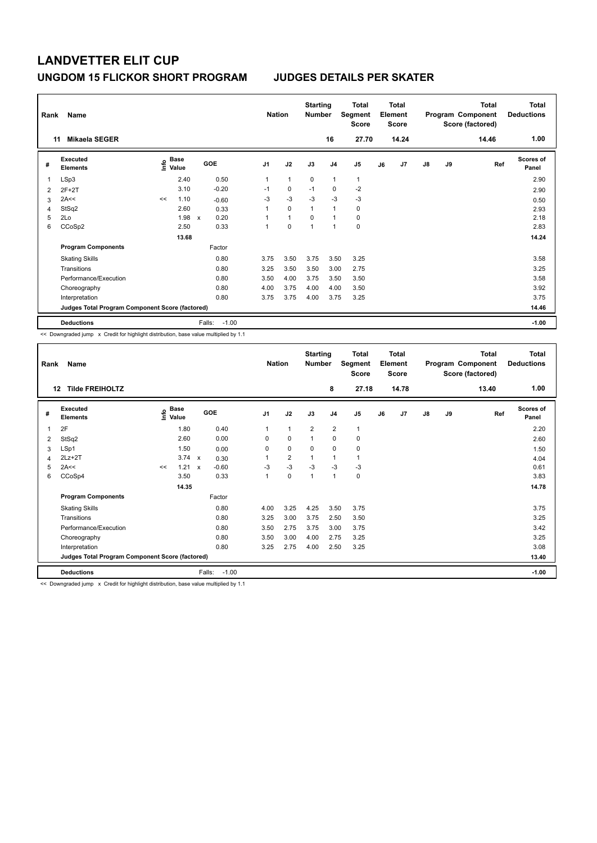| Rank<br>11 | Name<br><b>Mikaela SEGER</b>                    |    |                                  |              |         | <b>Nation</b>  |              | <b>Starting</b><br><b>Number</b> | 16             | <b>Total</b><br>Segment<br><b>Score</b><br>27.70 |    | <b>Total</b><br>Element<br>Score<br>14.24 |               |    | <b>Total</b><br>Program Component<br>Score (factored)<br>14.46 | Total<br><b>Deductions</b><br>1.00 |
|------------|-------------------------------------------------|----|----------------------------------|--------------|---------|----------------|--------------|----------------------------------|----------------|--------------------------------------------------|----|-------------------------------------------|---------------|----|----------------------------------------------------------------|------------------------------------|
|            |                                                 |    |                                  |              |         |                |              |                                  |                |                                                  |    |                                           |               |    |                                                                |                                    |
| #          | Executed<br><b>Elements</b>                     |    | <b>Base</b><br>e Base<br>⊆ Value | GOE          |         | J <sub>1</sub> | J2           | J3                               | J <sub>4</sub> | J5                                               | J6 | J7                                        | $\mathsf{J}8$ | J9 | Ref                                                            | Scores of<br>Panel                 |
| 1          | LSp3                                            |    | 2.40                             |              | 0.50    | 1              | $\mathbf{1}$ | 0                                | $\overline{1}$ | $\mathbf{1}$                                     |    |                                           |               |    |                                                                | 2.90                               |
| 2          | $2F+2T$                                         |    | 3.10                             |              | $-0.20$ | $-1$           | $\pmb{0}$    | $-1$                             | 0              | $-2$                                             |    |                                           |               |    |                                                                | 2.90                               |
| 3          | 2A<<                                            | << | 1.10                             |              | $-0.60$ | $-3$           | $-3$         | $-3$                             | $-3$           | $-3$                                             |    |                                           |               |    |                                                                | 0.50                               |
| 4          | StSq2                                           |    | 2.60                             |              | 0.33    | 1              | $\mathbf 0$  | $\overline{1}$                   | $\mathbf{1}$   | $\pmb{0}$                                        |    |                                           |               |    |                                                                | 2.93                               |
| 5          | 2Lo                                             |    | 1.98                             | $\mathsf{x}$ | 0.20    | 1              | $\mathbf{1}$ | $\mathbf 0$                      | 1              | 0                                                |    |                                           |               |    |                                                                | 2.18                               |
| 6          | CCoSp2                                          |    | 2.50                             |              | 0.33    | 1              | 0            | 1                                | $\overline{1}$ | 0                                                |    |                                           |               |    |                                                                | 2.83                               |
|            |                                                 |    | 13.68                            |              |         |                |              |                                  |                |                                                  |    |                                           |               |    |                                                                | 14.24                              |
|            | <b>Program Components</b>                       |    |                                  |              | Factor  |                |              |                                  |                |                                                  |    |                                           |               |    |                                                                |                                    |
|            | <b>Skating Skills</b>                           |    |                                  |              | 0.80    | 3.75           | 3.50         | 3.75                             | 3.50           | 3.25                                             |    |                                           |               |    |                                                                | 3.58                               |
|            | Transitions                                     |    |                                  |              | 0.80    | 3.25           | 3.50         | 3.50                             | 3.00           | 2.75                                             |    |                                           |               |    |                                                                | 3.25                               |
|            | Performance/Execution                           |    |                                  |              | 0.80    | 3.50           | 4.00         | 3.75                             | 3.50           | 3.50                                             |    |                                           |               |    |                                                                | 3.58                               |
|            | Choreography                                    |    |                                  |              | 0.80    | 4.00           | 3.75         | 4.00                             | 4.00           | 3.50                                             |    |                                           |               |    |                                                                | 3.92                               |
|            | Interpretation                                  |    |                                  |              | 0.80    | 3.75           | 3.75         | 4.00                             | 3.75           | 3.25                                             |    |                                           |               |    |                                                                | 3.75                               |
|            | Judges Total Program Component Score (factored) |    |                                  |              |         |                |              |                                  |                |                                                  |    |                                           |               |    |                                                                | 14.46                              |
|            | <b>Deductions</b>                               |    |                                  | Falls:       | $-1.00$ |                |              |                                  |                |                                                  |    |                                           |               |    |                                                                | $-1.00$                            |

<< Downgraded jump x Credit for highlight distribution, base value multiplied by 1.1

| Rank | Name                                            |    |                        |              |         | <b>Nation</b>  |                         | <b>Starting</b><br>Number |                | <b>Total</b><br>Segment<br>Score |    | Total<br>Element<br><b>Score</b> |               |    | <b>Total</b><br>Program Component<br>Score (factored) | <b>Total</b><br><b>Deductions</b> |
|------|-------------------------------------------------|----|------------------------|--------------|---------|----------------|-------------------------|---------------------------|----------------|----------------------------------|----|----------------------------------|---------------|----|-------------------------------------------------------|-----------------------------------|
| 12   | <b>Tilde FREIHOLTZ</b>                          |    |                        |              |         |                |                         |                           | 8              | 27.18                            |    | 14.78                            |               |    | 13.40                                                 | 1.00                              |
| #    | Executed<br><b>Elements</b>                     |    | $\sum_{i=1}^{n}$ Value |              | GOE     | J <sub>1</sub> | J2                      | J3                        | J <sub>4</sub> | J5                               | J6 | J <sub>7</sub>                   | $\mathsf{J}8$ | J9 | Ref                                                   | <b>Scores of</b><br>Panel         |
| 1    | 2F                                              |    | 1.80                   |              | 0.40    |                | 1                       | $\overline{2}$            | $\overline{2}$ | 1                                |    |                                  |               |    |                                                       | 2.20                              |
| 2    | StSq2                                           |    | 2.60                   |              | 0.00    | $\Omega$       | 0                       | $\overline{1}$            | $\mathbf 0$    | 0                                |    |                                  |               |    |                                                       | 2.60                              |
| 3    | LSp1                                            |    | 1.50                   |              | 0.00    | 0              | 0                       | $\Omega$                  | 0              | 0                                |    |                                  |               |    |                                                       | 1.50                              |
| 4    | $2Lz + 2T$                                      |    | $3.74 \times$          |              | 0.30    |                | $\overline{\mathbf{c}}$ | $\overline{1}$            | 1              |                                  |    |                                  |               |    |                                                       | 4.04                              |
| 5    | 2A<<                                            | << | 1.21                   | $\mathsf{x}$ | $-0.60$ | $-3$           | $-3$                    | $-3$                      | $-3$           | $-3$                             |    |                                  |               |    |                                                       | 0.61                              |
| 6    | CCoSp4                                          |    | 3.50                   |              | 0.33    |                | $\mathbf 0$             | 1                         | $\mathbf{1}$   | 0                                |    |                                  |               |    |                                                       | 3.83                              |
|      |                                                 |    | 14.35                  |              |         |                |                         |                           |                |                                  |    |                                  |               |    |                                                       | 14.78                             |
|      | <b>Program Components</b>                       |    |                        |              | Factor  |                |                         |                           |                |                                  |    |                                  |               |    |                                                       |                                   |
|      | <b>Skating Skills</b>                           |    |                        |              | 0.80    | 4.00           | 3.25                    | 4.25                      | 3.50           | 3.75                             |    |                                  |               |    |                                                       | 3.75                              |
|      | Transitions                                     |    |                        |              | 0.80    | 3.25           | 3.00                    | 3.75                      | 2.50           | 3.50                             |    |                                  |               |    |                                                       | 3.25                              |
|      | Performance/Execution                           |    |                        |              | 0.80    | 3.50           | 2.75                    | 3.75                      | 3.00           | 3.75                             |    |                                  |               |    |                                                       | 3.42                              |
|      | Choreography                                    |    |                        |              | 0.80    | 3.50           | 3.00                    | 4.00                      | 2.75           | 3.25                             |    |                                  |               |    |                                                       | 3.25                              |
|      | Interpretation                                  |    |                        |              | 0.80    | 3.25           | 2.75                    | 4.00                      | 2.50           | 3.25                             |    |                                  |               |    |                                                       | 3.08                              |
|      | Judges Total Program Component Score (factored) |    |                        |              |         |                |                         |                           |                |                                  |    |                                  |               |    |                                                       | 13.40                             |
|      | <b>Deductions</b>                               |    |                        | Falls:       | $-1.00$ |                |                         |                           |                |                                  |    |                                  |               |    |                                                       | $-1.00$                           |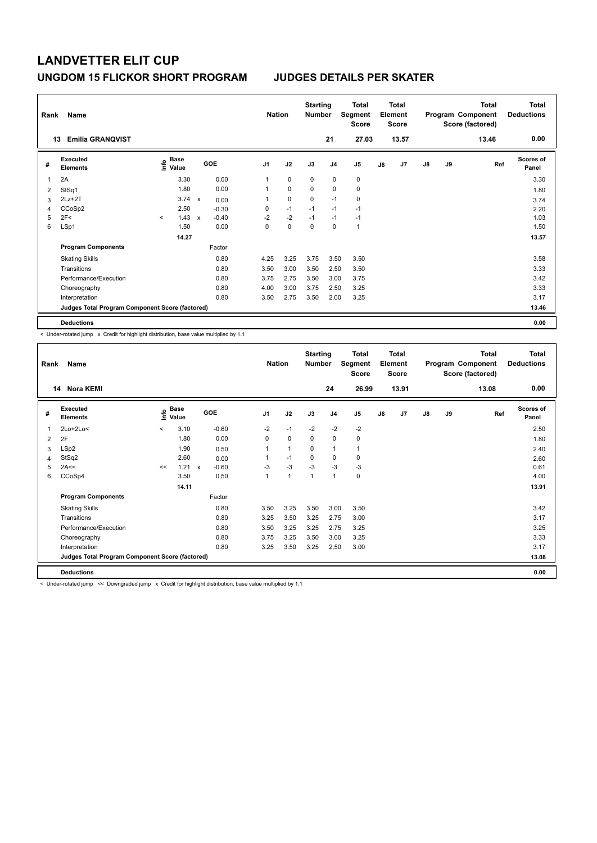| Rank | Name                                            |         |                      |                           |            |                | <b>Nation</b> | <b>Starting</b><br><b>Number</b> |                | <b>Total</b><br>Segment<br><b>Score</b> |    | <b>Total</b><br>Element<br><b>Score</b> |               |           | <b>Total</b><br>Program Component<br>Score (factored) | <b>Total</b><br><b>Deductions</b> |
|------|-------------------------------------------------|---------|----------------------|---------------------------|------------|----------------|---------------|----------------------------------|----------------|-----------------------------------------|----|-----------------------------------------|---------------|-----------|-------------------------------------------------------|-----------------------------------|
|      | <b>Emilia GRANOVIST</b><br>13                   |         |                      |                           |            |                |               |                                  | 21             | 27.03                                   |    | 13.57                                   |               |           | 13.46                                                 | 0.00                              |
| #    | Executed<br><b>Elements</b>                     | lnfo    | <b>Base</b><br>Value |                           | <b>GOE</b> | J <sub>1</sub> | J2            | J3                               | J <sub>4</sub> | J5                                      | J6 | J7                                      | $\mathsf{J}8$ | <b>J9</b> | Ref                                                   | <b>Scores of</b><br>Panel         |
|      | 2A                                              |         | 3.30                 |                           | 0.00       | 1              | 0             | 0                                | $\mathbf 0$    | $\pmb{0}$                               |    |                                         |               |           |                                                       | 3.30                              |
| 2    | StSq1                                           |         | 1.80                 |                           | 0.00       | 1              | $\mathbf 0$   | $\mathbf 0$                      | $\mathbf 0$    | $\mathbf 0$                             |    |                                         |               |           |                                                       | 1.80                              |
| 3    | $2Lz+2T$                                        |         | 3.74                 | $\boldsymbol{\mathsf{x}}$ | 0.00       | 1              | $\pmb{0}$     | 0                                | $-1$           | 0                                       |    |                                         |               |           |                                                       | 3.74                              |
| 4    | CCoSp2                                          |         | 2.50                 |                           | $-0.30$    | 0              | $-1$          | $-1$                             | $-1$           | $-1$                                    |    |                                         |               |           |                                                       | 2.20                              |
| 5    | 2F<                                             | $\prec$ | 1.43                 | $\mathsf{x}$              | $-0.40$    | $-2$           | $-2$          | $-1$                             | $-1$           | $-1$                                    |    |                                         |               |           |                                                       | 1.03                              |
| 6    | LSp1                                            |         | 1.50                 |                           | 0.00       | 0              | $\mathbf 0$   | $\Omega$                         | $\Omega$       | $\mathbf{1}$                            |    |                                         |               |           |                                                       | 1.50                              |
|      |                                                 |         | 14.27                |                           |            |                |               |                                  |                |                                         |    |                                         |               |           |                                                       | 13.57                             |
|      | <b>Program Components</b>                       |         |                      |                           | Factor     |                |               |                                  |                |                                         |    |                                         |               |           |                                                       |                                   |
|      | <b>Skating Skills</b>                           |         |                      |                           | 0.80       | 4.25           | 3.25          | 3.75                             | 3.50           | 3.50                                    |    |                                         |               |           |                                                       | 3.58                              |
|      | Transitions                                     |         |                      |                           | 0.80       | 3.50           | 3.00          | 3.50                             | 2.50           | 3.50                                    |    |                                         |               |           |                                                       | 3.33                              |
|      | Performance/Execution                           |         |                      |                           | 0.80       | 3.75           | 2.75          | 3.50                             | 3.00           | 3.75                                    |    |                                         |               |           |                                                       | 3.42                              |
|      | Choreography                                    |         |                      |                           | 0.80       | 4.00           | 3.00          | 3.75                             | 2.50           | 3.25                                    |    |                                         |               |           |                                                       | 3.33                              |
|      | Interpretation                                  |         |                      |                           | 0.80       | 3.50           | 2.75          | 3.50                             | 2.00           | 3.25                                    |    |                                         |               |           |                                                       | 3.17                              |
|      | Judges Total Program Component Score (factored) |         |                      |                           |            |                |               |                                  |                |                                         |    |                                         |               |           |                                                       | 13.46                             |
|      | <b>Deductions</b>                               |         |                      |                           |            |                |               |                                  |                |                                         |    |                                         |               |           |                                                       | 0.00                              |

< Under-rotated jump x Credit for highlight distribution, base value multiplied by 1.1

| Rank           | Name                                            |         |                      |                         |                | <b>Nation</b> | <b>Starting</b><br><b>Number</b> |                | <b>Total</b><br>Segment<br>Score |    | <b>Total</b><br>Element<br><b>Score</b> |               |    | <b>Total</b><br>Program Component<br>Score (factored) | <b>Total</b><br><b>Deductions</b> |
|----------------|-------------------------------------------------|---------|----------------------|-------------------------|----------------|---------------|----------------------------------|----------------|----------------------------------|----|-----------------------------------------|---------------|----|-------------------------------------------------------|-----------------------------------|
|                | 14 Nora KEMI                                    |         |                      |                         |                |               |                                  | 24             | 26.99                            |    | 13.91                                   |               |    | 13.08                                                 | 0.00                              |
| #              | Executed<br><b>Elements</b>                     | ١π      | <b>Base</b><br>Value | <b>GOE</b>              | J <sub>1</sub> | J2            | J3                               | J <sub>4</sub> | J5                               | J6 | J7                                      | $\mathsf{J}8$ | J9 | Ref                                                   | Scores of<br>Panel                |
| 1              | 2Lo+2Lo<                                        | $\prec$ | 3.10                 | $-0.60$                 | $-2$           | $-1$          | $-2$                             | $-2$           | $-2$                             |    |                                         |               |    |                                                       | 2.50                              |
| 2              | 2F                                              |         | 1.80                 | 0.00                    | 0              | $\mathbf 0$   | 0                                | $\mathbf 0$    | 0                                |    |                                         |               |    |                                                       | 1.80                              |
| 3              | LSp2                                            |         | 1.90                 | 0.50                    | 1              | $\mathbf{1}$  | 0                                | $\mathbf{1}$   | 1                                |    |                                         |               |    |                                                       | 2.40                              |
| $\overline{4}$ | StSq2                                           |         | 2.60                 | 0.00                    | 1              | $-1$          | 0                                | 0              | 0                                |    |                                         |               |    |                                                       | 2.60                              |
| 5              | 2A<<                                            | <<      | 1.21                 | $-0.60$<br>$\mathsf{x}$ | $-3$           | $-3$          | $-3$                             | $-3$           | $-3$                             |    |                                         |               |    |                                                       | 0.61                              |
| 6              | CCoSp4                                          |         | 3.50                 | 0.50                    | $\mathbf{1}$   | $\mathbf{1}$  | $\mathbf{1}$                     | $\mathbf{1}$   | 0                                |    |                                         |               |    |                                                       | 4.00                              |
|                |                                                 |         | 14.11                |                         |                |               |                                  |                |                                  |    |                                         |               |    |                                                       | 13.91                             |
|                | <b>Program Components</b>                       |         |                      | Factor                  |                |               |                                  |                |                                  |    |                                         |               |    |                                                       |                                   |
|                | <b>Skating Skills</b>                           |         |                      | 0.80                    | 3.50           | 3.25          | 3.50                             | 3.00           | 3.50                             |    |                                         |               |    |                                                       | 3.42                              |
|                | Transitions                                     |         |                      | 0.80                    | 3.25           | 3.50          | 3.25                             | 2.75           | 3.00                             |    |                                         |               |    |                                                       | 3.17                              |
|                | Performance/Execution                           |         |                      | 0.80                    | 3.50           | 3.25          | 3.25                             | 2.75           | 3.25                             |    |                                         |               |    |                                                       | 3.25                              |
|                | Choreography                                    |         |                      | 0.80                    | 3.75           | 3.25          | 3.50                             | 3.00           | 3.25                             |    |                                         |               |    |                                                       | 3.33                              |
|                | Interpretation                                  |         |                      | 0.80                    | 3.25           | 3.50          | 3.25                             | 2.50           | 3.00                             |    |                                         |               |    |                                                       | 3.17                              |
|                | Judges Total Program Component Score (factored) |         |                      |                         |                |               |                                  |                |                                  |    |                                         |               |    |                                                       | 13.08                             |
|                | <b>Deductions</b>                               |         |                      |                         |                |               |                                  |                |                                  |    |                                         |               |    |                                                       | 0.00                              |

< Under-rotated jump << Downgraded jump x Credit for highlight distribution, base value multiplied by 1.1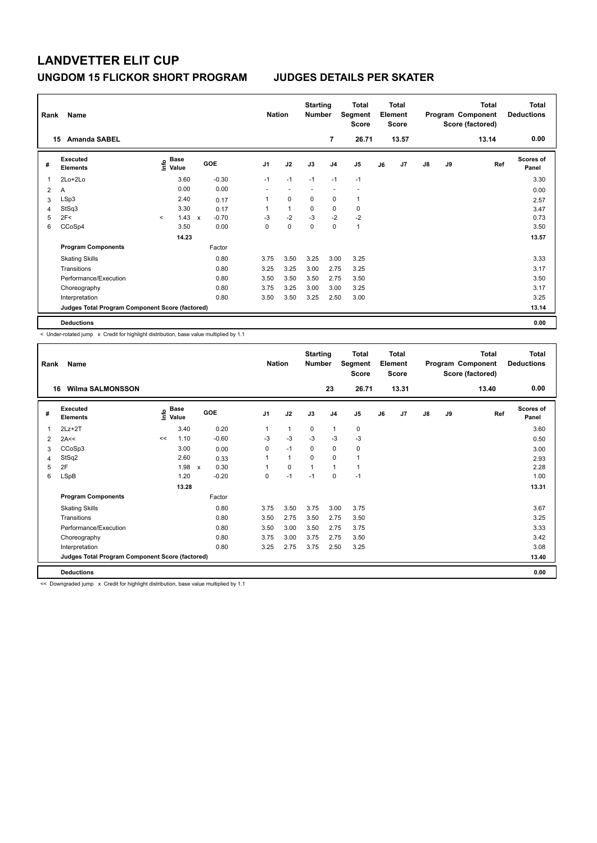| Rank           | Name                                            |         |                      |              |         |                          | <b>Nation</b> |              | <b>Starting</b><br><b>Number</b> |                | <b>Total</b><br>Segment<br><b>Score</b> |    | <b>Total</b><br>Element<br><b>Score</b> |               |    | <b>Total</b><br>Program Component<br>Score (factored) | <b>Total</b><br><b>Deductions</b> |
|----------------|-------------------------------------------------|---------|----------------------|--------------|---------|--------------------------|---------------|--------------|----------------------------------|----------------|-----------------------------------------|----|-----------------------------------------|---------------|----|-------------------------------------------------------|-----------------------------------|
|                | <b>Amanda SABEL</b><br>15                       |         |                      |              |         |                          |               |              |                                  | 7              | 26.71                                   |    | 13.57                                   |               |    | 13.14                                                 | 0.00                              |
| #              | <b>Executed</b><br><b>Elements</b>              | lnfo    | <b>Base</b><br>Value |              | GOE     | J <sub>1</sub>           |               | J2           | J3                               | J <sub>4</sub> | J5                                      | J6 | J7                                      | $\mathsf{J}8$ | J9 | Ref                                                   | <b>Scores of</b><br>Panel         |
|                | 2Lo+2Lo                                         |         | 3.60                 |              | $-0.30$ | $-1$                     |               | $-1$         | $-1$                             | $-1$           | $-1$                                    |    |                                         |               |    |                                                       | 3.30                              |
| $\overline{2}$ | A                                               |         | 0.00                 |              | 0.00    | $\overline{\phantom{a}}$ |               | ٠            | ٠                                | ٠              | $\overline{\phantom{a}}$                |    |                                         |               |    |                                                       | 0.00                              |
| 3              | LSp3                                            |         | 2.40                 |              | 0.17    | 1                        |               | $\mathbf 0$  | 0                                | $\mathbf 0$    | $\mathbf{1}$                            |    |                                         |               |    |                                                       | 2.57                              |
| 4              | StSq3                                           |         | 3.30                 |              | 0.17    | 1                        |               | $\mathbf{1}$ | 0                                | 0              | 0                                       |    |                                         |               |    |                                                       | 3.47                              |
| 5              | 2F<                                             | $\prec$ | 1.43                 | $\mathsf{x}$ | $-0.70$ | $-3$                     |               | $-2$         | $-3$                             | $-2$           | $-2$                                    |    |                                         |               |    |                                                       | 0.73                              |
| 6              | CCoSp4                                          |         | 3.50                 |              | 0.00    | 0                        |               | $\mathbf 0$  | $\mathbf 0$                      | $\mathbf 0$    | $\mathbf{1}$                            |    |                                         |               |    |                                                       | 3.50                              |
|                |                                                 |         | 14.23                |              |         |                          |               |              |                                  |                |                                         |    |                                         |               |    |                                                       | 13.57                             |
|                | <b>Program Components</b>                       |         |                      |              | Factor  |                          |               |              |                                  |                |                                         |    |                                         |               |    |                                                       |                                   |
|                | <b>Skating Skills</b>                           |         |                      |              | 0.80    | 3.75                     |               | 3.50         | 3.25                             | 3.00           | 3.25                                    |    |                                         |               |    |                                                       | 3.33                              |
|                | Transitions                                     |         |                      |              | 0.80    | 3.25                     |               | 3.25         | 3.00                             | 2.75           | 3.25                                    |    |                                         |               |    |                                                       | 3.17                              |
|                | Performance/Execution                           |         |                      |              | 0.80    | 3.50                     |               | 3.50         | 3.50                             | 2.75           | 3.50                                    |    |                                         |               |    |                                                       | 3.50                              |
|                | Choreography                                    |         |                      |              | 0.80    | 3.75                     |               | 3.25         | 3.00                             | 3.00           | 3.25                                    |    |                                         |               |    |                                                       | 3.17                              |
|                | Interpretation                                  |         |                      |              | 0.80    | 3.50                     |               | 3.50         | 3.25                             | 2.50           | 3.00                                    |    |                                         |               |    |                                                       | 3.25                              |
|                | Judges Total Program Component Score (factored) |         |                      |              |         |                          |               |              |                                  |                |                                         |    |                                         |               |    |                                                       | 13.14                             |
|                | <b>Deductions</b>                               |         |                      |              |         |                          |               |              |                                  |                |                                         |    |                                         |               |    |                                                       | 0.00                              |

< Under-rotated jump x Credit for highlight distribution, base value multiplied by 1.1

| Rank | Name                                            |    |                                       |                      | <b>Nation</b>  |              | <b>Starting</b><br><b>Number</b> |                | <b>Total</b><br>Segment<br><b>Score</b> |    | <b>Total</b><br>Element<br><b>Score</b> |               |    | <b>Total</b><br>Program Component<br>Score (factored) | <b>Total</b><br><b>Deductions</b> |
|------|-------------------------------------------------|----|---------------------------------------|----------------------|----------------|--------------|----------------------------------|----------------|-----------------------------------------|----|-----------------------------------------|---------------|----|-------------------------------------------------------|-----------------------------------|
| 16   | <b>Wilma SALMONSSON</b>                         |    |                                       |                      |                |              |                                  | 23             | 26.71                                   |    | 13.31                                   |               |    | 13.40                                                 | 0.00                              |
| #    | Executed<br><b>Elements</b>                     |    | <b>Base</b><br>$\sum_{i=1}^{6}$ Value | <b>GOE</b>           | J <sub>1</sub> | J2           | J3                               | J <sub>4</sub> | J5                                      | J6 | J7                                      | $\mathsf{J}8$ | J9 | Ref                                                   | <b>Scores of</b><br>Panel         |
| 1    | $2Lz + 2T$                                      |    | 3.40                                  | 0.20                 | 1              | $\mathbf{1}$ | 0                                | $\mathbf{1}$   | 0                                       |    |                                         |               |    |                                                       | 3.60                              |
| 2    | 2A<<                                            | << | 1.10                                  | $-0.60$              | $-3$           | $-3$         | $-3$                             | $-3$           | $-3$                                    |    |                                         |               |    |                                                       | 0.50                              |
| 3    | CCoSp3                                          |    | 3.00                                  | 0.00                 | 0              | $-1$         | 0                                | $\mathbf 0$    | 0                                       |    |                                         |               |    |                                                       | 3.00                              |
| 4    | StSq2                                           |    | 2.60                                  | 0.33                 |                | $\mathbf{1}$ | $\Omega$                         | $\mathbf 0$    |                                         |    |                                         |               |    |                                                       | 2.93                              |
| 5    | 2F                                              |    | 1.98                                  | 0.30<br>$\mathsf{x}$ |                | $\mathbf 0$  | 1                                | $\mathbf{1}$   |                                         |    |                                         |               |    |                                                       | 2.28                              |
| 6    | LSpB                                            |    | 1.20                                  | $-0.20$              | 0              | $-1$         | $-1$                             | 0              | $-1$                                    |    |                                         |               |    |                                                       | 1.00                              |
|      |                                                 |    | 13.28                                 |                      |                |              |                                  |                |                                         |    |                                         |               |    |                                                       | 13.31                             |
|      | <b>Program Components</b>                       |    |                                       | Factor               |                |              |                                  |                |                                         |    |                                         |               |    |                                                       |                                   |
|      | <b>Skating Skills</b>                           |    |                                       | 0.80                 | 3.75           | 3.50         | 3.75                             | 3.00           | 3.75                                    |    |                                         |               |    |                                                       | 3.67                              |
|      | Transitions                                     |    |                                       | 0.80                 | 3.50           | 2.75         | 3.50                             | 2.75           | 3.50                                    |    |                                         |               |    |                                                       | 3.25                              |
|      | Performance/Execution                           |    |                                       | 0.80                 | 3.50           | 3.00         | 3.50                             | 2.75           | 3.75                                    |    |                                         |               |    |                                                       | 3.33                              |
|      | Choreography                                    |    |                                       | 0.80                 | 3.75           | 3.00         | 3.75                             | 2.75           | 3.50                                    |    |                                         |               |    |                                                       | 3.42                              |
|      | Interpretation                                  |    |                                       | 0.80                 | 3.25           | 2.75         | 3.75                             | 2.50           | 3.25                                    |    |                                         |               |    |                                                       | 3.08                              |
|      | Judges Total Program Component Score (factored) |    |                                       |                      |                |              |                                  |                |                                         |    |                                         |               |    |                                                       | 13.40                             |
|      | <b>Deductions</b>                               |    |                                       |                      |                |              |                                  |                |                                         |    |                                         |               |    |                                                       | 0.00                              |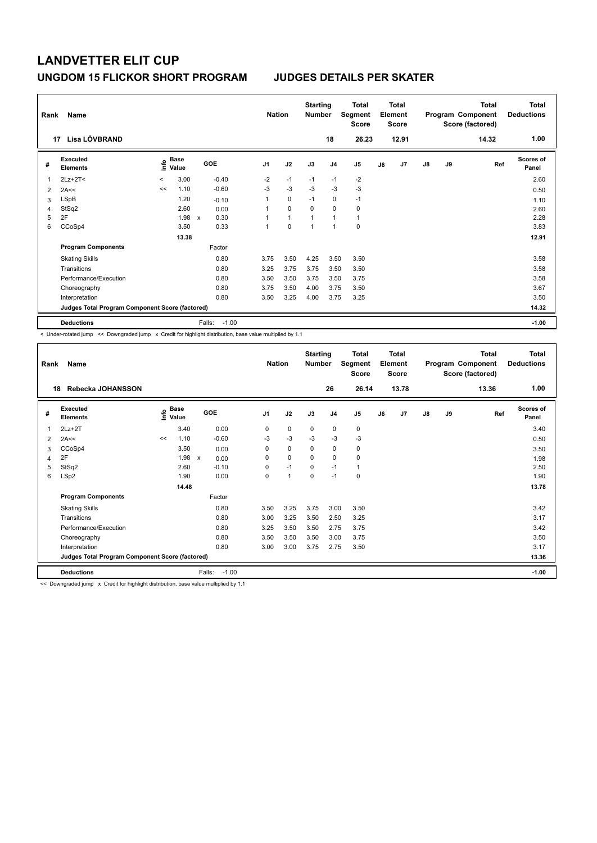| Rank<br>17 | Name<br>Lisa LÖVBRAND                           |         |                      |                      | <b>Nation</b>  |              | <b>Starting</b><br><b>Number</b> | 18             | <b>Total</b><br>Segment<br><b>Score</b><br>26.23 |    | <b>Total</b><br>Element<br><b>Score</b><br>12.91 |               |    | <b>Total</b><br>Program Component<br>Score (factored)<br>14.32 | <b>Total</b><br><b>Deductions</b><br>1.00 |
|------------|-------------------------------------------------|---------|----------------------|----------------------|----------------|--------------|----------------------------------|----------------|--------------------------------------------------|----|--------------------------------------------------|---------------|----|----------------------------------------------------------------|-------------------------------------------|
|            |                                                 |         |                      |                      |                |              |                                  |                |                                                  |    |                                                  |               |    |                                                                |                                           |
| #          | Executed<br><b>Elements</b>                     | ۴ů      | <b>Base</b><br>Value | <b>GOE</b>           | J <sub>1</sub> | J2           | J3                               | J <sub>4</sub> | J <sub>5</sub>                                   | J6 | J7                                               | $\mathsf{J}8$ | J9 | Ref                                                            | <b>Scores of</b><br>Panel                 |
| 1          | $2Lz+2T<$                                       | $\prec$ | 3.00                 | $-0.40$              | $-2$           | $-1$         | $-1$                             | $-1$           | $-2$                                             |    |                                                  |               |    |                                                                | 2.60                                      |
| 2          | 2A<<                                            | <<      | 1.10                 | $-0.60$              | $-3$           | $-3$         | $-3$                             | $-3$           | $-3$                                             |    |                                                  |               |    |                                                                | 0.50                                      |
| 3          | <b>LSpB</b>                                     |         | 1.20                 | $-0.10$              |                | $\mathbf 0$  | $-1$                             | $\mathbf 0$    | $-1$                                             |    |                                                  |               |    |                                                                | 1.10                                      |
| 4          | StSq2                                           |         | 2.60                 | 0.00                 |                | $\mathbf 0$  | $\Omega$                         | $\mathbf 0$    | 0                                                |    |                                                  |               |    |                                                                | 2.60                                      |
| 5          | 2F                                              |         | 1.98                 | 0.30<br>$\mathsf{x}$ |                | $\mathbf{1}$ |                                  | $\overline{1}$ | $\mathbf{1}$                                     |    |                                                  |               |    |                                                                | 2.28                                      |
| 6          | CCoSp4                                          |         | 3.50                 | 0.33                 | 1              | $\mathbf 0$  | 1                                | $\overline{1}$ | $\pmb{0}$                                        |    |                                                  |               |    |                                                                | 3.83                                      |
|            |                                                 |         | 13.38                |                      |                |              |                                  |                |                                                  |    |                                                  |               |    |                                                                | 12.91                                     |
|            | <b>Program Components</b>                       |         |                      | Factor               |                |              |                                  |                |                                                  |    |                                                  |               |    |                                                                |                                           |
|            | <b>Skating Skills</b>                           |         |                      | 0.80                 | 3.75           | 3.50         | 4.25                             | 3.50           | 3.50                                             |    |                                                  |               |    |                                                                | 3.58                                      |
|            | Transitions                                     |         |                      | 0.80                 | 3.25           | 3.75         | 3.75                             | 3.50           | 3.50                                             |    |                                                  |               |    |                                                                | 3.58                                      |
|            | Performance/Execution                           |         |                      | 0.80                 | 3.50           | 3.50         | 3.75                             | 3.50           | 3.75                                             |    |                                                  |               |    |                                                                | 3.58                                      |
|            | Choreography                                    |         |                      | 0.80                 | 3.75           | 3.50         | 4.00                             | 3.75           | 3.50                                             |    |                                                  |               |    |                                                                | 3.67                                      |
|            | Interpretation                                  |         |                      | 0.80                 | 3.50           | 3.25         | 4.00                             | 3.75           | 3.25                                             |    |                                                  |               |    |                                                                | 3.50                                      |
|            | Judges Total Program Component Score (factored) |         |                      |                      |                |              |                                  |                |                                                  |    |                                                  |               |    |                                                                | 14.32                                     |
|            | <b>Deductions</b>                               |         |                      | $-1.00$<br>Falls:    |                |              |                                  |                |                                                  |    |                                                  |               |    |                                                                | $-1.00$                                   |

< Under-rotated jump << Downgraded jump x Credit for highlight distribution, base value multiplied by 1.1

| Rank | Name                                            |                       |       |                      | <b>Nation</b>  |              | <b>Starting</b><br><b>Number</b> |                | <b>Total</b><br>Segment<br><b>Score</b> |    | <b>Total</b><br>Element<br><b>Score</b> |    |    | <b>Total</b><br>Program Component<br>Score (factored) | Total<br><b>Deductions</b> |
|------|-------------------------------------------------|-----------------------|-------|----------------------|----------------|--------------|----------------------------------|----------------|-----------------------------------------|----|-----------------------------------------|----|----|-------------------------------------------------------|----------------------------|
| 18   | Rebecka JOHANSSON                               |                       |       |                      |                |              |                                  | 26             | 26.14                                   |    | 13.78                                   |    |    | 13.36                                                 | 1.00                       |
| #    | Executed<br><b>Elements</b>                     | $\sum_{i=1}^{n}$ Base |       | <b>GOE</b>           | J <sub>1</sub> | J2           | J3                               | J <sub>4</sub> | J <sub>5</sub>                          | J6 | J7                                      | J8 | J9 | Ref                                                   | <b>Scores of</b><br>Panel  |
| 1    | $2Lz+2T$                                        |                       | 3.40  | 0.00                 | 0              | 0            | 0                                | $\mathbf 0$    | 0                                       |    |                                         |    |    |                                                       | 3.40                       |
| 2    | 2A<<                                            | <<                    | 1.10  | $-0.60$              | -3             | $-3$         | $-3$                             | $-3$           | $-3$                                    |    |                                         |    |    |                                                       | 0.50                       |
| 3    | CCoSp4                                          |                       | 3.50  | 0.00                 | 0              | 0            | 0                                | $\mathbf 0$    | 0                                       |    |                                         |    |    |                                                       | 3.50                       |
| 4    | 2F                                              |                       | 1.98  | $\pmb{\chi}$<br>0.00 | 0              | 0            | $\mathbf 0$                      | $\mathbf 0$    | 0                                       |    |                                         |    |    |                                                       | 1.98                       |
| 5    | StSq2                                           |                       | 2.60  | $-0.10$              | 0              | $-1$         | $\Omega$                         | $-1$           | 1                                       |    |                                         |    |    |                                                       | 2.50                       |
| 6    | LSp2                                            |                       | 1.90  | 0.00                 | 0              | $\mathbf{1}$ | $\mathbf 0$                      | $-1$           | 0                                       |    |                                         |    |    |                                                       | 1.90                       |
|      |                                                 |                       | 14.48 |                      |                |              |                                  |                |                                         |    |                                         |    |    |                                                       | 13.78                      |
|      | <b>Program Components</b>                       |                       |       | Factor               |                |              |                                  |                |                                         |    |                                         |    |    |                                                       |                            |
|      | <b>Skating Skills</b>                           |                       |       | 0.80                 | 3.50           | 3.25         | 3.75                             | 3.00           | 3.50                                    |    |                                         |    |    |                                                       | 3.42                       |
|      | Transitions                                     |                       |       | 0.80                 | 3.00           | 3.25         | 3.50                             | 2.50           | 3.25                                    |    |                                         |    |    |                                                       | 3.17                       |
|      | Performance/Execution                           |                       |       | 0.80                 | 3.25           | 3.50         | 3.50                             | 2.75           | 3.75                                    |    |                                         |    |    |                                                       | 3.42                       |
|      | Choreography                                    |                       |       | 0.80                 | 3.50           | 3.50         | 3.50                             | 3.00           | 3.75                                    |    |                                         |    |    |                                                       | 3.50                       |
|      | Interpretation                                  |                       |       | 0.80                 | 3.00           | 3.00         | 3.75                             | 2.75           | 3.50                                    |    |                                         |    |    |                                                       | 3.17                       |
|      | Judges Total Program Component Score (factored) |                       |       |                      |                |              |                                  |                |                                         |    |                                         |    |    |                                                       | 13.36                      |
|      | <b>Deductions</b>                               |                       |       | $-1.00$<br>Falls:    |                |              |                                  |                |                                         |    |                                         |    |    |                                                       | $-1.00$                    |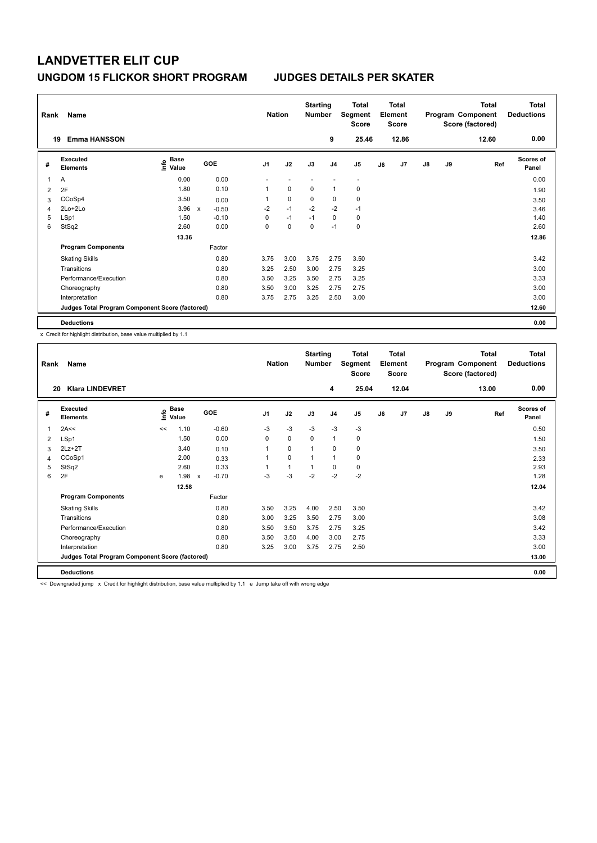| Rank | Name                                            |                              |             |            |                | <b>Nation</b> | <b>Starting</b><br><b>Number</b> |                | <b>Total</b><br>Segment<br><b>Score</b> |    | <b>Total</b><br>Element<br><b>Score</b> |               |    | <b>Total</b><br>Program Component<br>Score (factored) | <b>Total</b><br><b>Deductions</b> |
|------|-------------------------------------------------|------------------------------|-------------|------------|----------------|---------------|----------------------------------|----------------|-----------------------------------------|----|-----------------------------------------|---------------|----|-------------------------------------------------------|-----------------------------------|
|      | <b>Emma HANSSON</b><br>19                       |                              |             |            |                |               |                                  | 9              | 25.46                                   |    | 12.86                                   |               |    | 12.60                                                 | 0.00                              |
| #    | <b>Executed</b><br><b>Elements</b>              | <b>Base</b><br>lnfo<br>Value |             | <b>GOE</b> | J <sub>1</sub> | J2            | J3                               | J <sub>4</sub> | J5                                      | J6 | J7                                      | $\mathsf{J}8$ | J9 | Ref                                                   | <b>Scores of</b><br>Panel         |
| 1    | Α                                               | 0.00                         |             | 0.00       |                |               |                                  |                | $\overline{\phantom{a}}$                |    |                                         |               |    |                                                       | 0.00                              |
| 2    | 2F                                              | 1.80                         |             | 0.10       | 1              | 0             | 0                                | $\overline{1}$ | 0                                       |    |                                         |               |    |                                                       | 1.90                              |
| 3    | CCoSp4                                          | 3.50                         |             | 0.00       | 1              | $\mathbf 0$   | 0                                | 0              | 0                                       |    |                                         |               |    |                                                       | 3.50                              |
| 4    | 2Lo+2Lo                                         | 3.96                         | $\mathbf x$ | $-0.50$    | $-2$           | $-1$          | $-2$                             | $-2$           | $-1$                                    |    |                                         |               |    |                                                       | 3.46                              |
| 5    | LSp1                                            | 1.50                         |             | $-0.10$    | 0              | $-1$          | $-1$                             | $\mathbf 0$    | $\pmb{0}$                               |    |                                         |               |    |                                                       | 1.40                              |
| 6    | StSq2                                           | 2.60                         |             | 0.00       | 0              | $\mathbf 0$   | 0                                | $-1$           | $\pmb{0}$                               |    |                                         |               |    |                                                       | 2.60                              |
|      |                                                 | 13.36                        |             |            |                |               |                                  |                |                                         |    |                                         |               |    |                                                       | 12.86                             |
|      | <b>Program Components</b>                       |                              |             | Factor     |                |               |                                  |                |                                         |    |                                         |               |    |                                                       |                                   |
|      | <b>Skating Skills</b>                           |                              |             | 0.80       | 3.75           | 3.00          | 3.75                             | 2.75           | 3.50                                    |    |                                         |               |    |                                                       | 3.42                              |
|      | Transitions                                     |                              |             | 0.80       | 3.25           | 2.50          | 3.00                             | 2.75           | 3.25                                    |    |                                         |               |    |                                                       | 3.00                              |
|      | Performance/Execution                           |                              |             | 0.80       | 3.50           | 3.25          | 3.50                             | 2.75           | 3.25                                    |    |                                         |               |    |                                                       | 3.33                              |
|      | Choreography                                    |                              |             | 0.80       | 3.50           | 3.00          | 3.25                             | 2.75           | 2.75                                    |    |                                         |               |    |                                                       | 3.00                              |
|      | Interpretation                                  |                              |             | 0.80       | 3.75           | 2.75          | 3.25                             | 2.50           | 3.00                                    |    |                                         |               |    |                                                       | 3.00                              |
|      | Judges Total Program Component Score (factored) |                              |             |            |                |               |                                  |                |                                         |    |                                         |               |    |                                                       | 12.60                             |
|      | <b>Deductions</b>                               |                              |             |            |                |               |                                  |                |                                         |    |                                         |               |    |                                                       | 0.00                              |

x Credit for highlight distribution, base value multiplied by 1.1

| Rank | Name                                            |      |                      |                                      | <b>Nation</b>  |              | <b>Starting</b><br><b>Number</b> |                | Total<br>Segment<br>Score |    | Total<br>Element<br><b>Score</b> |    |    | <b>Total</b><br>Program Component<br>Score (factored) | <b>Total</b><br><b>Deductions</b> |
|------|-------------------------------------------------|------|----------------------|--------------------------------------|----------------|--------------|----------------------------------|----------------|---------------------------|----|----------------------------------|----|----|-------------------------------------------------------|-----------------------------------|
| 20   | <b>Klara LINDEVRET</b>                          |      |                      |                                      |                |              |                                  | 4              | 25.04                     |    | 12.04                            |    |    | 13.00                                                 | 0.00                              |
| #    | Executed<br><b>Elements</b>                     | ١mfo | <b>Base</b><br>Value | GOE                                  | J <sub>1</sub> | J2           | J3                               | J <sub>4</sub> | J <sub>5</sub>            | J6 | J7                               | J8 | J9 | Ref                                                   | <b>Scores of</b><br>Panel         |
| 1    | 2A<<                                            | <<   | 1.10                 | $-0.60$                              | $-3$           | $-3$         | $-3$                             | $-3$           | $-3$                      |    |                                  |    |    |                                                       | 0.50                              |
| 2    | LSp1                                            |      | 1.50                 | 0.00                                 | 0              | 0            | 0                                | $\mathbf{1}$   | 0                         |    |                                  |    |    |                                                       | 1.50                              |
| 3    | $2Lz+2T$                                        |      | 3.40                 | 0.10                                 | 1              | 0            | 1                                | 0              | 0                         |    |                                  |    |    |                                                       | 3.50                              |
| 4    | CCoSp1                                          |      | 2.00                 | 0.33                                 | 1              | 0            | 1                                | $\mathbf{1}$   | 0                         |    |                                  |    |    |                                                       | 2.33                              |
| 5    | StSq2                                           |      | 2.60                 | 0.33                                 |                | $\mathbf{1}$ | 1                                | 0              | 0                         |    |                                  |    |    |                                                       | 2.93                              |
| 6    | 2F                                              | e    | 1.98                 | $-0.70$<br>$\boldsymbol{\mathsf{x}}$ | $-3$           | $-3$         | $-2$                             | $-2$           | $-2$                      |    |                                  |    |    |                                                       | 1.28                              |
|      |                                                 |      | 12.58                |                                      |                |              |                                  |                |                           |    |                                  |    |    |                                                       | 12.04                             |
|      | <b>Program Components</b>                       |      |                      | Factor                               |                |              |                                  |                |                           |    |                                  |    |    |                                                       |                                   |
|      | <b>Skating Skills</b>                           |      |                      | 0.80                                 | 3.50           | 3.25         | 4.00                             | 2.50           | 3.50                      |    |                                  |    |    |                                                       | 3.42                              |
|      | Transitions                                     |      |                      | 0.80                                 | 3.00           | 3.25         | 3.50                             | 2.75           | 3.00                      |    |                                  |    |    |                                                       | 3.08                              |
|      | Performance/Execution                           |      |                      | 0.80                                 | 3.50           | 3.50         | 3.75                             | 2.75           | 3.25                      |    |                                  |    |    |                                                       | 3.42                              |
|      | Choreography                                    |      |                      | 0.80                                 | 3.50           | 3.50         | 4.00                             | 3.00           | 2.75                      |    |                                  |    |    |                                                       | 3.33                              |
|      | Interpretation                                  |      |                      | 0.80                                 | 3.25           | 3.00         | 3.75                             | 2.75           | 2.50                      |    |                                  |    |    |                                                       | 3.00                              |
|      | Judges Total Program Component Score (factored) |      |                      |                                      |                |              |                                  |                |                           |    |                                  |    |    |                                                       | 13.00                             |
|      | <b>Deductions</b>                               |      |                      |                                      |                |              |                                  |                |                           |    |                                  |    |    |                                                       | 0.00                              |

<< Downgraded jump x Credit for highlight distribution, base value multiplied by 1.1 e Jump take off with wrong edge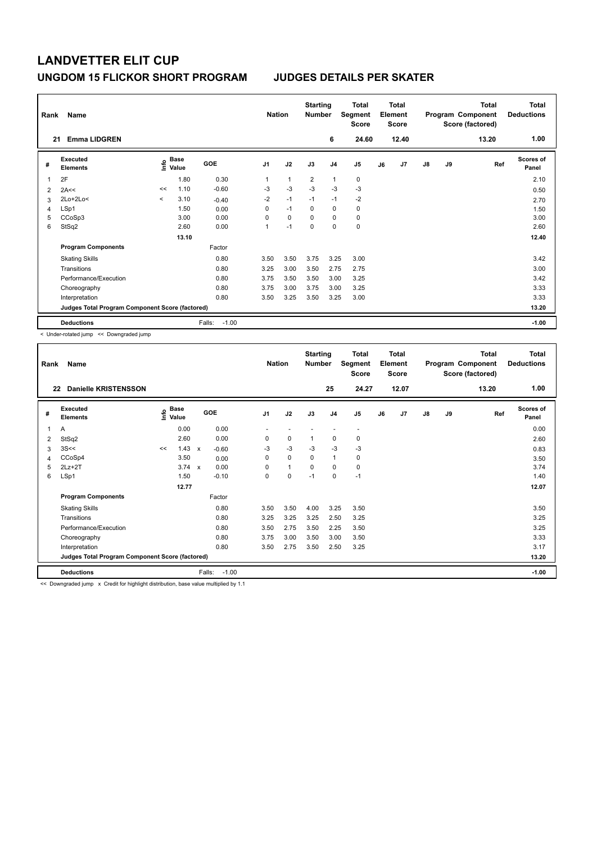| Rank<br>21 | Name<br><b>Emma LIDGREN</b>                     |         |               |                   | <b>Nation</b>  |                | <b>Starting</b><br><b>Number</b> | 6              | <b>Total</b><br>Segment<br><b>Score</b><br>24.60 |    | <b>Total</b><br>Element<br><b>Score</b><br>12.40 |               |    | <b>Total</b><br>Program Component<br>Score (factored)<br>13.20 | Total<br><b>Deductions</b><br>1.00 |
|------------|-------------------------------------------------|---------|---------------|-------------------|----------------|----------------|----------------------------------|----------------|--------------------------------------------------|----|--------------------------------------------------|---------------|----|----------------------------------------------------------------|------------------------------------|
|            |                                                 |         |               |                   |                |                |                                  |                |                                                  |    |                                                  |               |    |                                                                |                                    |
| #          | Executed<br><b>Elements</b>                     | lnfo    | Base<br>Value | GOE               | J <sub>1</sub> | J2             | J3                               | J <sub>4</sub> | J5                                               | J6 | J7                                               | $\mathsf{J}8$ | J9 | Ref                                                            | Scores of<br>Panel                 |
| 1          | 2F                                              |         | 1.80          | 0.30              | 1              | $\overline{1}$ | $\overline{2}$                   | $\mathbf{1}$   | $\mathbf 0$                                      |    |                                                  |               |    |                                                                | 2.10                               |
| 2          | 2A<<                                            | <<      | 1.10          | $-0.60$           | $-3$           | $-3$           | $-3$                             | $-3$           | $-3$                                             |    |                                                  |               |    |                                                                | 0.50                               |
| 3          | 2Lo+2Lo<                                        | $\prec$ | 3.10          | $-0.40$           | $-2$           | $-1$           | $-1$                             | $-1$           | $-2$                                             |    |                                                  |               |    |                                                                | 2.70                               |
| 4          | LSp1                                            |         | 1.50          | 0.00              | 0              | $-1$           | $\Omega$                         | $\mathbf 0$    | $\mathbf 0$                                      |    |                                                  |               |    |                                                                | 1.50                               |
| 5          | CCoSp3                                          |         | 3.00          | 0.00              | 0              | $\mathbf 0$    | $\Omega$                         | $\Omega$       | $\mathbf 0$                                      |    |                                                  |               |    |                                                                | 3.00                               |
| 6          | StSq2                                           |         | 2.60          | 0.00              | 1              | $-1$           | $\mathbf 0$                      | $\mathbf 0$    | $\mathbf 0$                                      |    |                                                  |               |    |                                                                | 2.60                               |
|            |                                                 |         | 13.10         |                   |                |                |                                  |                |                                                  |    |                                                  |               |    |                                                                | 12.40                              |
|            | <b>Program Components</b>                       |         |               | Factor            |                |                |                                  |                |                                                  |    |                                                  |               |    |                                                                |                                    |
|            | <b>Skating Skills</b>                           |         |               | 0.80              | 3.50           | 3.50           | 3.75                             | 3.25           | 3.00                                             |    |                                                  |               |    |                                                                | 3.42                               |
|            | Transitions                                     |         |               | 0.80              | 3.25           | 3.00           | 3.50                             | 2.75           | 2.75                                             |    |                                                  |               |    |                                                                | 3.00                               |
|            | Performance/Execution                           |         |               | 0.80              | 3.75           | 3.50           | 3.50                             | 3.00           | 3.25                                             |    |                                                  |               |    |                                                                | 3.42                               |
|            | Choreography                                    |         |               | 0.80              | 3.75           | 3.00           | 3.75                             | 3.00           | 3.25                                             |    |                                                  |               |    |                                                                | 3.33                               |
|            | Interpretation                                  |         |               | 0.80              | 3.50           | 3.25           | 3.50                             | 3.25           | 3.00                                             |    |                                                  |               |    |                                                                | 3.33                               |
|            | Judges Total Program Component Score (factored) |         |               |                   |                |                |                                  |                |                                                  |    |                                                  |               |    |                                                                | 13.20                              |
|            | <b>Deductions</b>                               |         |               | $-1.00$<br>Falls: |                |                |                                  |                |                                                  |    |                                                  |               |    |                                                                | $-1.00$                            |

< Under-rotated jump << Downgraded jump

| Rank | Name                                            |                               |               |              |         | <b>Nation</b>  |              | <b>Starting</b><br><b>Number</b> |                | <b>Total</b><br>Segment<br><b>Score</b> |    | <b>Total</b><br>Element<br><b>Score</b> |    |    | Total<br>Program Component<br>Score (factored) | <b>Total</b><br><b>Deductions</b> |
|------|-------------------------------------------------|-------------------------------|---------------|--------------|---------|----------------|--------------|----------------------------------|----------------|-----------------------------------------|----|-----------------------------------------|----|----|------------------------------------------------|-----------------------------------|
| 22   | <b>Danielle KRISTENSSON</b>                     |                               |               |              |         |                |              |                                  | 25             | 24.27                                   |    | 12.07                                   |    |    | 13.20                                          | 1.00                              |
| #    | Executed<br><b>Elements</b>                     | $\frac{e}{\overline{E}}$ Base |               |              | GOE     | J <sub>1</sub> | J2           | J3                               | J <sub>4</sub> | J <sub>5</sub>                          | J6 | J7                                      | J8 | J9 | Ref                                            | <b>Scores of</b><br>Panel         |
| 1    | A                                               |                               | 0.00          |              | 0.00    |                |              |                                  |                | $\overline{\phantom{a}}$                |    |                                         |    |    |                                                | 0.00                              |
| 2    | StSq2                                           |                               | 2.60          |              | 0.00    | 0              | 0            | 1                                | 0              | 0                                       |    |                                         |    |    |                                                | 2.60                              |
| 3    | 3S<<                                            | <<                            | 1.43          | $\mathsf{x}$ | $-0.60$ | $-3$           | $-3$         | $-3$                             | $-3$           | $-3$                                    |    |                                         |    |    |                                                | 0.83                              |
| 4    | CCoSp4                                          |                               | 3.50          |              | 0.00    | 0              | 0            | 0                                | $\mathbf{1}$   | 0                                       |    |                                         |    |    |                                                | 3.50                              |
| 5    | $2Lz+2T$                                        |                               | $3.74 \times$ |              | 0.00    | $\Omega$       | $\mathbf{1}$ | $\Omega$                         | $\Omega$       | 0                                       |    |                                         |    |    |                                                | 3.74                              |
| 6    | LSp1                                            |                               | 1.50          |              | $-0.10$ | 0              | 0            | $-1$                             | $\mathbf 0$    | $-1$                                    |    |                                         |    |    |                                                | 1.40                              |
|      |                                                 |                               | 12.77         |              |         |                |              |                                  |                |                                         |    |                                         |    |    |                                                | 12.07                             |
|      | <b>Program Components</b>                       |                               |               |              | Factor  |                |              |                                  |                |                                         |    |                                         |    |    |                                                |                                   |
|      | <b>Skating Skills</b>                           |                               |               |              | 0.80    | 3.50           | 3.50         | 4.00                             | 3.25           | 3.50                                    |    |                                         |    |    |                                                | 3.50                              |
|      | Transitions                                     |                               |               |              | 0.80    | 3.25           | 3.25         | 3.25                             | 2.50           | 3.25                                    |    |                                         |    |    |                                                | 3.25                              |
|      | Performance/Execution                           |                               |               |              | 0.80    | 3.50           | 2.75         | 3.50                             | 2.25           | 3.50                                    |    |                                         |    |    |                                                | 3.25                              |
|      | Choreography                                    |                               |               |              | 0.80    | 3.75           | 3.00         | 3.50                             | 3.00           | 3.50                                    |    |                                         |    |    |                                                | 3.33                              |
|      | Interpretation                                  |                               |               |              | 0.80    | 3.50           | 2.75         | 3.50                             | 2.50           | 3.25                                    |    |                                         |    |    |                                                | 3.17                              |
|      | Judges Total Program Component Score (factored) |                               |               |              |         |                |              |                                  |                |                                         |    |                                         |    |    |                                                | 13.20                             |
|      | <b>Deductions</b>                               |                               |               | Falls:       | $-1.00$ |                |              |                                  |                |                                         |    |                                         |    |    |                                                | $-1.00$                           |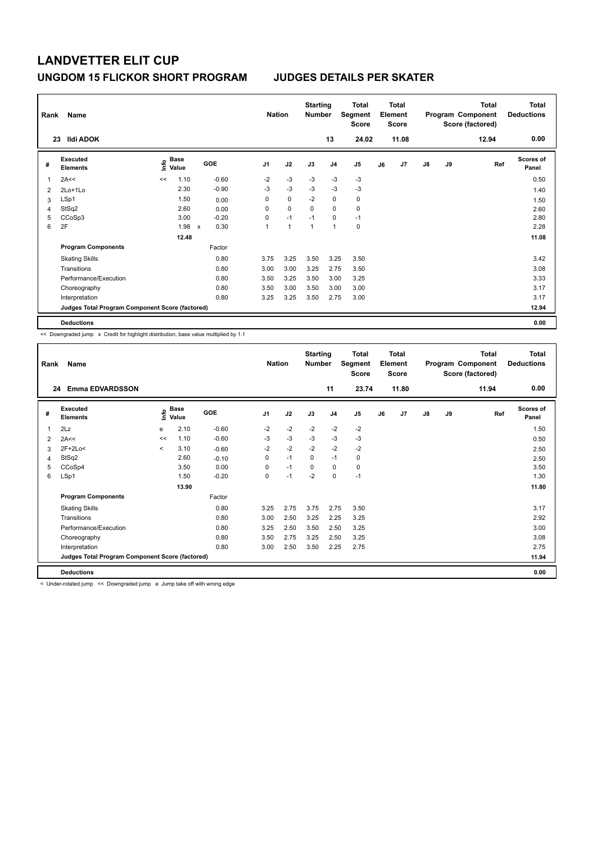| Rank           | Name                                            |      |                      |                           |         |                | <b>Nation</b>  | <b>Starting</b><br><b>Number</b> |                | Total<br>Segment<br><b>Score</b> |    | <b>Total</b><br>Element<br><b>Score</b> |               |    | <b>Total</b><br>Program Component<br>Score (factored) | <b>Total</b><br><b>Deductions</b> |
|----------------|-------------------------------------------------|------|----------------------|---------------------------|---------|----------------|----------------|----------------------------------|----------------|----------------------------------|----|-----------------------------------------|---------------|----|-------------------------------------------------------|-----------------------------------|
|                | <b>Ildi ADOK</b><br>23                          |      |                      |                           |         |                |                |                                  | 13             | 24.02                            |    | 11.08                                   |               |    | 12.94                                                 | 0.00                              |
| #              | <b>Executed</b><br><b>Elements</b>              | ١nfo | <b>Base</b><br>Value |                           | GOE     | J <sub>1</sub> | J2             | J3                               | J <sub>4</sub> | J5                               | J6 | J7                                      | $\mathsf{J}8$ | J9 | Ref                                                   | <b>Scores of</b><br>Panel         |
|                | 2A<<                                            | <<   | 1.10                 |                           | $-0.60$ | $-2$           | $-3$           | $-3$                             | $-3$           | $-3$                             |    |                                         |               |    |                                                       | 0.50                              |
| $\overline{2}$ | 2Lo+1Lo                                         |      | 2.30                 |                           | $-0.90$ | $-3$           | $-3$           | $-3$                             | $-3$           | $-3$                             |    |                                         |               |    |                                                       | 1.40                              |
| 3              | LSp1                                            |      | 1.50                 |                           | 0.00    | 0              | $\mathbf 0$    | $-2$                             | $\mathbf 0$    | $\pmb{0}$                        |    |                                         |               |    |                                                       | 1.50                              |
| 4              | StSq2                                           |      | 2.60                 |                           | 0.00    | 0              | $\mathbf 0$    | $\Omega$                         | 0              | 0                                |    |                                         |               |    |                                                       | 2.60                              |
| 5              | CCoSp3                                          |      | 3.00                 |                           | $-0.20$ | 0              | $-1$           | $-1$                             | 0              | $-1$                             |    |                                         |               |    |                                                       | 2.80                              |
| 6              | 2F                                              |      | 1.98                 | $\boldsymbol{\mathsf{x}}$ | 0.30    | 1              | $\overline{1}$ | 1                                | 1              | $\mathbf 0$                      |    |                                         |               |    |                                                       | 2.28                              |
|                |                                                 |      | 12.48                |                           |         |                |                |                                  |                |                                  |    |                                         |               |    |                                                       | 11.08                             |
|                | <b>Program Components</b>                       |      |                      |                           | Factor  |                |                |                                  |                |                                  |    |                                         |               |    |                                                       |                                   |
|                | <b>Skating Skills</b>                           |      |                      |                           | 0.80    | 3.75           | 3.25           | 3.50                             | 3.25           | 3.50                             |    |                                         |               |    |                                                       | 3.42                              |
|                | Transitions                                     |      |                      |                           | 0.80    | 3.00           | 3.00           | 3.25                             | 2.75           | 3.50                             |    |                                         |               |    |                                                       | 3.08                              |
|                | Performance/Execution                           |      |                      |                           | 0.80    | 3.50           | 3.25           | 3.50                             | 3.00           | 3.25                             |    |                                         |               |    |                                                       | 3.33                              |
|                | Choreography                                    |      |                      |                           | 0.80    | 3.50           | 3.00           | 3.50                             | 3.00           | 3.00                             |    |                                         |               |    |                                                       | 3.17                              |
|                | Interpretation                                  |      |                      |                           | 0.80    | 3.25           | 3.25           | 3.50                             | 2.75           | 3.00                             |    |                                         |               |    |                                                       | 3.17                              |
|                | Judges Total Program Component Score (factored) |      |                      |                           |         |                |                |                                  |                |                                  |    |                                         |               |    |                                                       | 12.94                             |
|                | <b>Deductions</b>                               |      |                      |                           |         |                |                |                                  |                |                                  |    |                                         |               |    |                                                       | 0.00                              |

<< Downgraded jump x Credit for highlight distribution, base value multiplied by 1.1

| Rank | Name                                            |         |                      |            | <b>Nation</b>  |      | <b>Starting</b><br><b>Number</b> |                | <b>Total</b><br>Segment<br><b>Score</b> |    | Total<br>Element<br><b>Score</b> |               |    | <b>Total</b><br>Program Component<br>Score (factored) | <b>Total</b><br><b>Deductions</b><br>0.00 |
|------|-------------------------------------------------|---------|----------------------|------------|----------------|------|----------------------------------|----------------|-----------------------------------------|----|----------------------------------|---------------|----|-------------------------------------------------------|-------------------------------------------|
| 24   | <b>Emma EDVARDSSON</b>                          |         |                      |            |                |      |                                  | 11             | 23.74                                   |    | 11.80                            |               |    | 11.94                                                 |                                           |
| #    | Executed<br><b>Elements</b>                     | ١m      | <b>Base</b><br>Value | <b>GOE</b> | J <sub>1</sub> | J2   | J3                               | J <sub>4</sub> | J5                                      | J6 | J7                               | $\mathsf{J}8$ | J9 | Ref                                                   | <b>Scores of</b><br>Panel                 |
| 1    | 2Lz                                             | e       | 2.10                 | $-0.60$    | $-2$           | $-2$ | $-2$                             | $-2$           | $-2$                                    |    |                                  |               |    |                                                       | 1.50                                      |
| 2    | 2A<<                                            | <<      | 1.10                 | $-0.60$    | $-3$           | $-3$ | $-3$                             | $-3$           | $-3$                                    |    |                                  |               |    |                                                       | 0.50                                      |
| 3    | $2F+2Lo<$                                       | $\prec$ | 3.10                 | $-0.60$    | $-2$           | $-2$ | $-2$                             | $-2$           | $-2$                                    |    |                                  |               |    |                                                       | 2.50                                      |
| 4    | StSq2                                           |         | 2.60                 | $-0.10$    | 0              | $-1$ | $\mathbf 0$                      | $-1$           | 0                                       |    |                                  |               |    |                                                       | 2.50                                      |
| 5    | CCoSp4                                          |         | 3.50                 | 0.00       | 0              | $-1$ | $\mathbf 0$                      | $\mathbf 0$    | 0                                       |    |                                  |               |    |                                                       | 3.50                                      |
| 6    | LSp1                                            |         | 1.50                 | $-0.20$    | 0              | $-1$ | $-2$                             | $\mathbf 0$    | $-1$                                    |    |                                  |               |    |                                                       | 1.30                                      |
|      |                                                 |         | 13.90                |            |                |      |                                  |                |                                         |    |                                  |               |    |                                                       | 11.80                                     |
|      | <b>Program Components</b>                       |         |                      | Factor     |                |      |                                  |                |                                         |    |                                  |               |    |                                                       |                                           |
|      | <b>Skating Skills</b>                           |         |                      | 0.80       | 3.25           | 2.75 | 3.75                             | 2.75           | 3.50                                    |    |                                  |               |    |                                                       | 3.17                                      |
|      | Transitions                                     |         |                      | 0.80       | 3.00           | 2.50 | 3.25                             | 2.25           | 3.25                                    |    |                                  |               |    |                                                       | 2.92                                      |
|      | Performance/Execution                           |         |                      | 0.80       | 3.25           | 2.50 | 3.50                             | 2.50           | 3.25                                    |    |                                  |               |    |                                                       | 3.00                                      |
|      | Choreography                                    |         |                      | 0.80       | 3.50           | 2.75 | 3.25                             | 2.50           | 3.25                                    |    |                                  |               |    |                                                       | 3.08                                      |
|      | Interpretation                                  |         |                      | 0.80       | 3.00           | 2.50 | 3.50                             | 2.25           | 2.75                                    |    |                                  |               |    |                                                       | 2.75                                      |
|      | Judges Total Program Component Score (factored) |         |                      |            |                |      |                                  |                |                                         |    |                                  |               |    |                                                       | 11.94                                     |
|      | <b>Deductions</b>                               |         |                      |            |                |      |                                  |                |                                         |    |                                  |               |    |                                                       | 0.00                                      |

< Under-rotated jump << Downgraded jump e Jump take off with wrong edge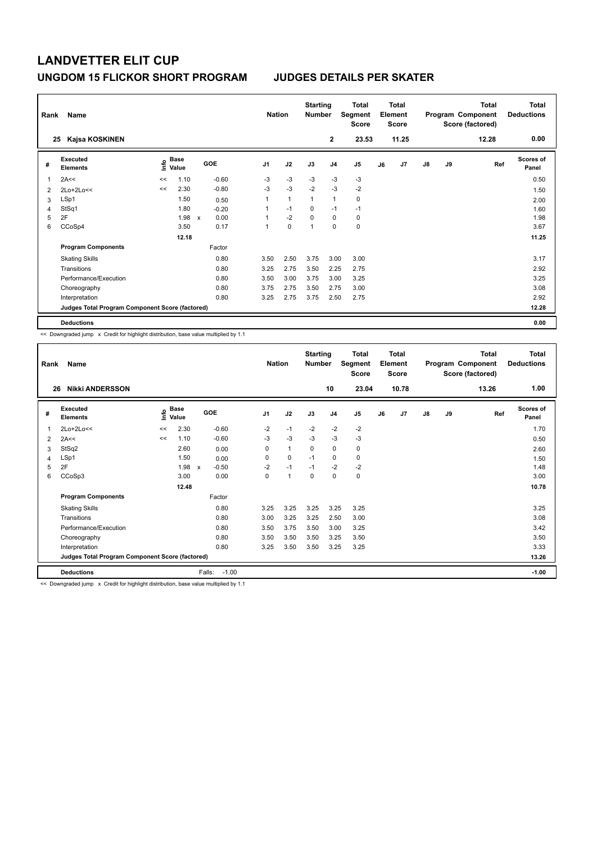| Name<br>Rank |                                                 |       |                      |                           |         |                | <b>Nation</b> |                | <b>Starting</b><br><b>Number</b> | Total<br>Segment<br><b>Score</b> | <b>Total</b><br>Element<br><b>Score</b> |       |               |    | <b>Total</b><br>Program Component<br>Score (factored) | <b>Total</b><br><b>Deductions</b> |
|--------------|-------------------------------------------------|-------|----------------------|---------------------------|---------|----------------|---------------|----------------|----------------------------------|----------------------------------|-----------------------------------------|-------|---------------|----|-------------------------------------------------------|-----------------------------------|
|              | Kajsa KOSKINEN<br>25                            |       |                      |                           |         |                |               |                | $\mathbf{2}$                     | 23.53                            |                                         | 11.25 |               |    | 12.28                                                 | 0.00                              |
| #            | Executed<br><b>Elements</b>                     | ۴     | <b>Base</b><br>Value |                           | GOE     | J <sub>1</sub> | J2            | J3             | J <sub>4</sub>                   | J <sub>5</sub>                   | J6                                      | J7    | $\mathsf{J}8$ | J9 | Ref                                                   | <b>Scores of</b><br>Panel         |
| 1            | 2A<<                                            | <<    | 1.10                 |                           | $-0.60$ | $-3$           | $-3$          | $-3$           | -3                               | $-3$                             |                                         |       |               |    |                                                       | 0.50                              |
| 2            | 2Lo+2Lo<<                                       | <<    | 2.30                 |                           | $-0.80$ | $-3$           | $-3$          | $-2$           | $-3$                             | $-2$                             |                                         |       |               |    |                                                       | 1.50                              |
| 3            | LSp1                                            |       | 1.50                 |                           | 0.50    |                | $\mathbf{1}$  | $\mathbf{1}$   | $\mathbf{1}$                     | 0                                |                                         |       |               |    |                                                       | 2.00                              |
| 4            | StSq1                                           |       | 1.80                 |                           | $-0.20$ |                | $-1$          | $\Omega$       | $-1$                             | $-1$                             |                                         |       |               |    |                                                       | 1.60                              |
| 5            | 2F                                              |       | 1.98                 | $\boldsymbol{\mathsf{x}}$ | 0.00    |                | $-2$          | $\Omega$       | $\mathbf 0$                      | 0                                |                                         |       |               |    |                                                       | 1.98                              |
| 6            | CCoSp4                                          |       | 3.50                 |                           | 0.17    | 1              | $\mathbf 0$   | $\overline{1}$ | $\mathbf 0$                      | $\mathbf 0$                      |                                         |       |               |    |                                                       | 3.67                              |
|              |                                                 | 12.18 |                      |                           |         |                |               |                |                                  |                                  |                                         |       |               |    |                                                       | 11.25                             |
|              | <b>Program Components</b>                       |       |                      |                           | Factor  |                |               |                |                                  |                                  |                                         |       |               |    |                                                       |                                   |
|              | <b>Skating Skills</b>                           |       |                      |                           | 0.80    | 3.50           | 2.50          | 3.75           | 3.00                             | 3.00                             |                                         |       |               |    |                                                       | 3.17                              |
|              | Transitions                                     |       |                      |                           | 0.80    | 3.25           | 2.75          | 3.50           | 2.25                             | 2.75                             |                                         |       |               |    |                                                       | 2.92                              |
|              | Performance/Execution                           |       |                      |                           | 0.80    | 3.50           | 3.00          | 3.75           | 3.00                             | 3.25                             |                                         |       |               |    |                                                       | 3.25                              |
|              | Choreography                                    |       |                      |                           | 0.80    | 3.75           | 2.75          | 3.50           | 2.75                             | 3.00                             |                                         |       |               |    |                                                       | 3.08                              |
|              | Interpretation                                  |       |                      |                           | 0.80    | 3.25           | 2.75          | 3.75           | 2.50                             | 2.75                             |                                         |       |               |    |                                                       | 2.92                              |
|              | Judges Total Program Component Score (factored) |       |                      |                           |         |                |               |                |                                  |                                  |                                         |       |               |    |                                                       | 12.28                             |
|              | <b>Deductions</b>                               |       |                      |                           |         |                |               |                |                                  |                                  |                                         |       |               |    |                                                       | 0.00                              |

<< Downgraded jump x Credit for highlight distribution, base value multiplied by 1.1

| Rank | Name                                            |                |                      |                         | <b>Nation</b>  |                      | <b>Starting</b><br><b>Number</b> |                | Total<br>Segment<br><b>Score</b> |    | <b>Total</b><br>Element<br><b>Score</b> |               |    | <b>Total</b><br>Program Component<br>Score (factored) | <b>Total</b><br><b>Deductions</b> |
|------|-------------------------------------------------|----------------|----------------------|-------------------------|----------------|----------------------|----------------------------------|----------------|----------------------------------|----|-----------------------------------------|---------------|----|-------------------------------------------------------|-----------------------------------|
| 26   | <b>Nikki ANDERSSON</b>                          |                |                      |                         |                |                      |                                  | 10             | 23.04                            |    | 10.78                                   |               |    | 13.26                                                 | 1.00                              |
| #    | Executed<br><b>Elements</b>                     | $\bullet$<br>έ | <b>Base</b><br>Value | GOE                     | J <sub>1</sub> | J2                   | J3                               | J <sub>4</sub> | J <sub>5</sub>                   | J6 | J7                                      | $\mathsf{J}8$ | J9 | Ref                                                   | Scores of<br>Panel                |
| 1    | 2Lo+2Lo<<                                       | <<             | 2.30                 | $-0.60$                 | $-2$           | $-1$                 | $-2$                             | $-2$           | $-2$                             |    |                                         |               |    |                                                       | 1.70                              |
| 2    | 2A<<                                            | <<             | 1.10                 | $-0.60$                 | $-3$           | $-3$                 | $-3$                             | $-3$           | $-3$                             |    |                                         |               |    |                                                       | 0.50                              |
| 3    | StSq2                                           |                | 2.60                 | 0.00                    | 0              | $\mathbf{1}$         | 0                                | 0              | 0                                |    |                                         |               |    |                                                       | 2.60                              |
| 4    | LSp1                                            |                | 1.50                 | 0.00                    | 0              | 0                    | $-1$                             | 0              | 0                                |    |                                         |               |    |                                                       | 1.50                              |
| 5    | 2F                                              |                | 1.98                 | $-0.50$<br>$\mathsf{x}$ | $-2$           | $-1$                 | $-1$                             | $-2$           | $-2$                             |    |                                         |               |    |                                                       | 1.48                              |
| 6    | CCoSp3                                          |                | 3.00                 | 0.00                    | 0              | $\blacktriangleleft$ | 0                                | $\mathbf 0$    | 0                                |    |                                         |               |    |                                                       | 3.00                              |
|      |                                                 |                | 12.48                |                         |                |                      |                                  |                |                                  |    |                                         |               |    |                                                       | 10.78                             |
|      | <b>Program Components</b>                       |                |                      | Factor                  |                |                      |                                  |                |                                  |    |                                         |               |    |                                                       |                                   |
|      | <b>Skating Skills</b>                           |                |                      | 0.80                    | 3.25           | 3.25                 | 3.25                             | 3.25           | 3.25                             |    |                                         |               |    |                                                       | 3.25                              |
|      | Transitions                                     |                |                      | 0.80                    | 3.00           | 3.25                 | 3.25                             | 2.50           | 3.00                             |    |                                         |               |    |                                                       | 3.08                              |
|      | Performance/Execution                           |                |                      | 0.80                    | 3.50           | 3.75                 | 3.50                             | 3.00           | 3.25                             |    |                                         |               |    |                                                       | 3.42                              |
|      | Choreography                                    |                |                      | 0.80                    | 3.50           | 3.50                 | 3.50                             | 3.25           | 3.50                             |    |                                         |               |    |                                                       | 3.50                              |
|      | Interpretation                                  |                |                      | 0.80                    | 3.25           | 3.50                 | 3.50                             | 3.25           | 3.25                             |    |                                         |               |    |                                                       | 3.33                              |
|      | Judges Total Program Component Score (factored) |                |                      |                         |                |                      |                                  |                |                                  |    |                                         |               |    |                                                       | 13.26                             |
|      | <b>Deductions</b>                               |                |                      | $-1.00$<br>Falls:       |                |                      |                                  |                |                                  |    |                                         |               |    |                                                       | $-1.00$                           |